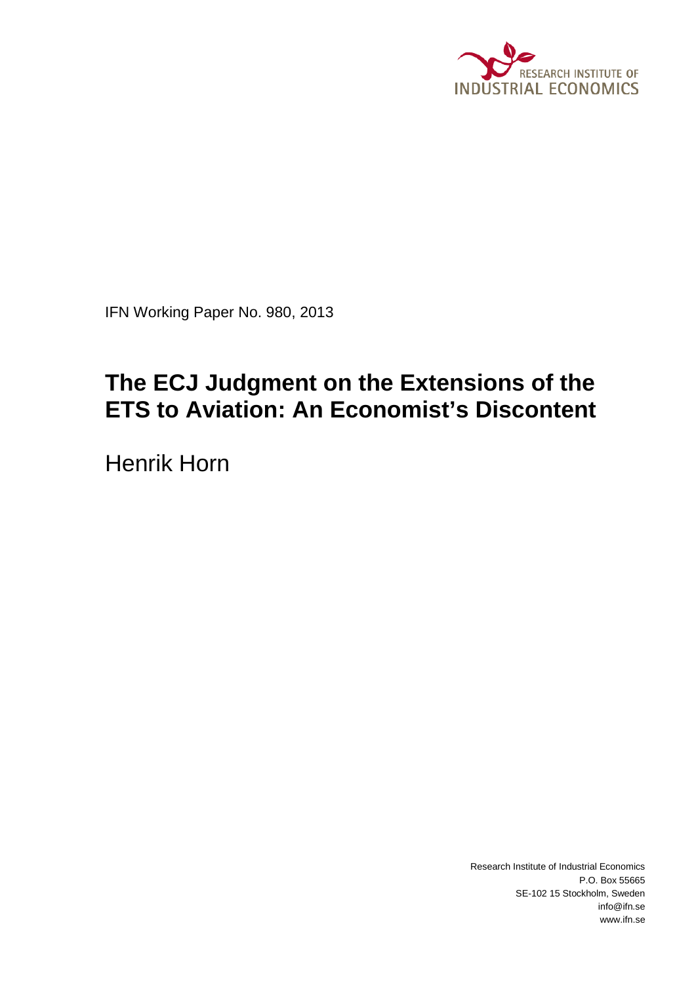

IFN Working Paper No. 980, 2013

# **The ECJ Judgment on the Extensions of the ETS to Aviation: An Economist's Discontent**

Henrik Horn

Research Institute of Industrial Economics P.O. Box 55665 SE-102 15 Stockholm, Sweden info@ifn.se www.ifn.se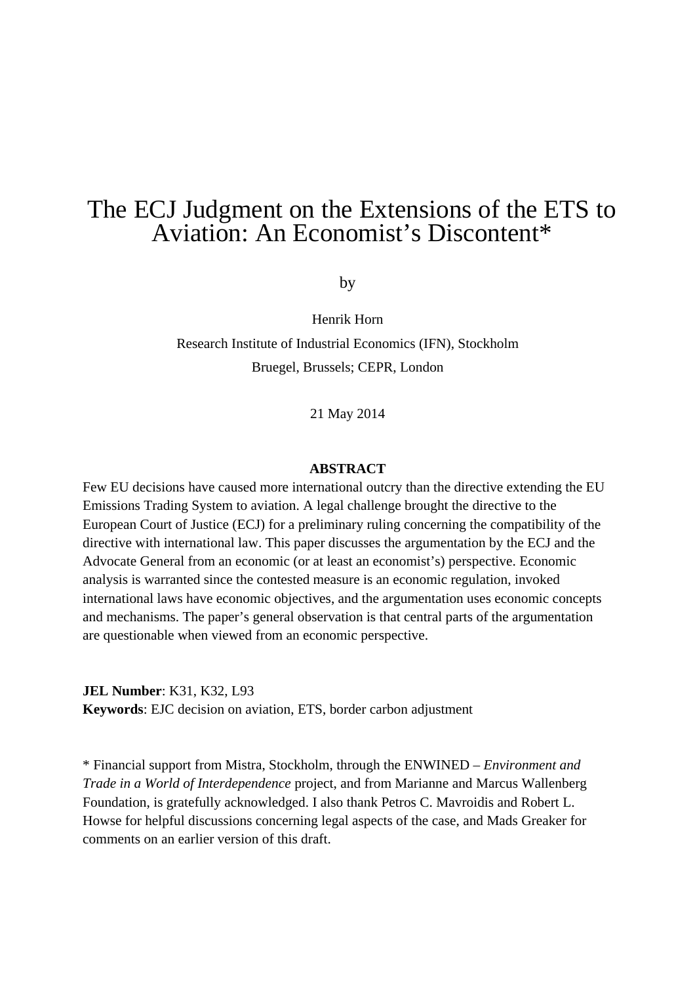## The ECJ Judgment on the Extensions of the ETS to Aviation: An Economist's Discontent\*

by

Henrik Horn Research Institute of Industrial Economics (IFN), Stockholm Bruegel, Brussels; CEPR, London

21 May 2014

#### **ABSTRACT**

Few EU decisions have caused more international outcry than the directive extending the EU Emissions Trading System to aviation. A legal challenge brought the directive to the European Court of Justice (ECJ) for a preliminary ruling concerning the compatibility of the directive with international law. This paper discusses the argumentation by the ECJ and the Advocate General from an economic (or at least an economist's) perspective. Economic analysis is warranted since the contested measure is an economic regulation, invoked international laws have economic objectives, and the argumentation uses economic concepts and mechanisms. The paper's general observation is that central parts of the argumentation are questionable when viewed from an economic perspective.

**JEL Number**: K31, K32, L93

**Keywords**: EJC decision on aviation, ETS, border carbon adjustment

\* Financial support from Mistra, Stockholm, through the ENWINED – *Environment and Trade in a World of Interdependence* project, and from Marianne and Marcus Wallenberg Foundation, is gratefully acknowledged. I also thank Petros C. Mavroidis and Robert L. Howse for helpful discussions concerning legal aspects of the case, and Mads Greaker for comments on an earlier version of this draft.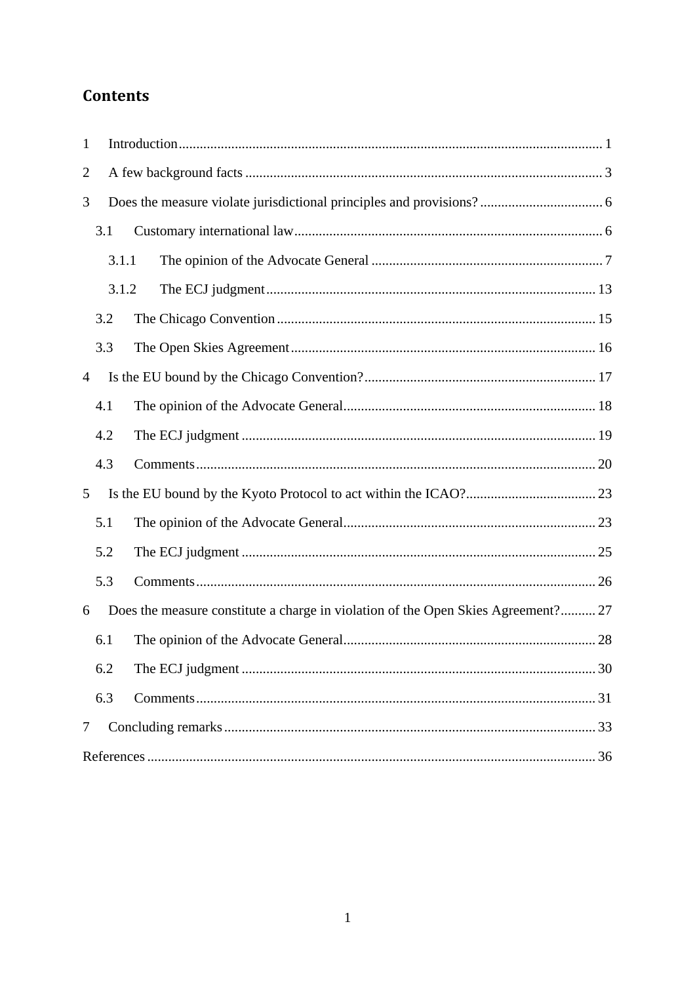## **Contents**

| $\mathbf{1}$                                                                           |       |  |  |  |
|----------------------------------------------------------------------------------------|-------|--|--|--|
| 2                                                                                      |       |  |  |  |
| 3                                                                                      |       |  |  |  |
|                                                                                        | 3.1   |  |  |  |
|                                                                                        | 3.1.1 |  |  |  |
|                                                                                        | 3.1.2 |  |  |  |
|                                                                                        | 3.2   |  |  |  |
|                                                                                        | 3.3   |  |  |  |
| 4                                                                                      |       |  |  |  |
|                                                                                        | 4.1   |  |  |  |
|                                                                                        | 4.2   |  |  |  |
|                                                                                        | 4.3   |  |  |  |
| 5                                                                                      |       |  |  |  |
|                                                                                        | 5.1   |  |  |  |
|                                                                                        | 5.2   |  |  |  |
|                                                                                        | 5.3   |  |  |  |
| Does the measure constitute a charge in violation of the Open Skies Agreement? 27<br>6 |       |  |  |  |
|                                                                                        | 6.1   |  |  |  |
|                                                                                        | 6.2   |  |  |  |
|                                                                                        | 6.3   |  |  |  |
| 7                                                                                      |       |  |  |  |
|                                                                                        |       |  |  |  |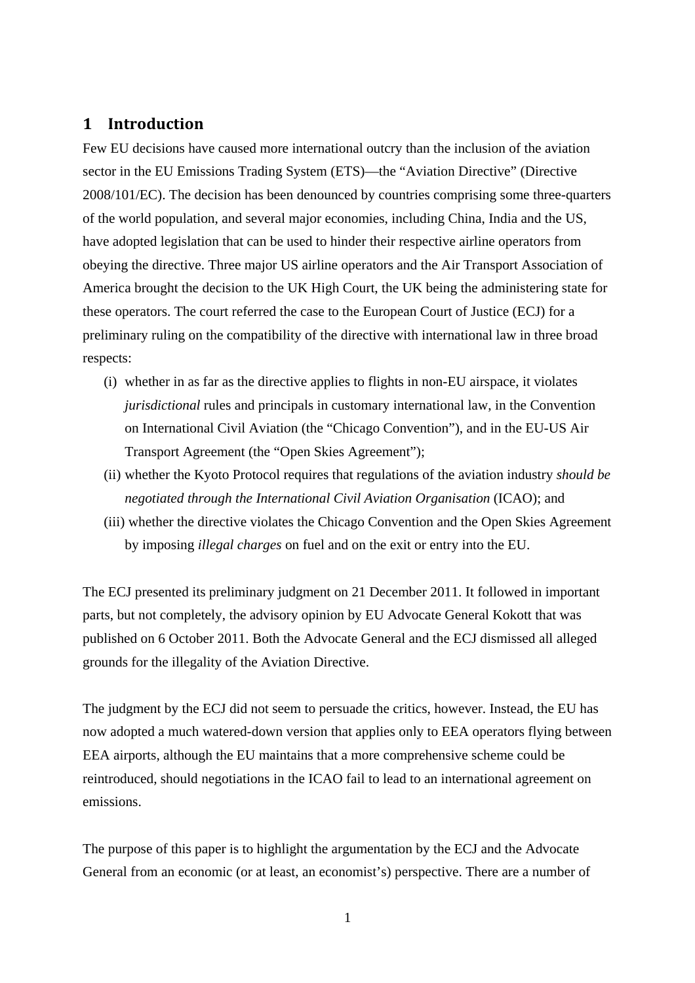#### **1 Introduction**

Few EU decisions have caused more international outcry than the inclusion of the aviation sector in the EU Emissions Trading System (ETS)—the "Aviation Directive" (Directive 2008/101/EC). The decision has been denounced by countries comprising some three-quarters of the world population, and several major economies, including China, India and the US, have adopted legislation that can be used to hinder their respective airline operators from obeying the directive. Three major US airline operators and the Air Transport Association of America brought the decision to the UK High Court, the UK being the administering state for these operators. The court referred the case to the European Court of Justice (ECJ) for a preliminary ruling on the compatibility of the directive with international law in three broad respects:

- (i) whether in as far as the directive applies to flights in non-EU airspace, it violates *jurisdictional* rules and principals in customary international law, in the Convention on International Civil Aviation (the "Chicago Convention"), and in the EU-US Air Transport Agreement (the "Open Skies Agreement");
- (ii) whether the Kyoto Protocol requires that regulations of the aviation industry *should be negotiated through the International Civil Aviation Organisation* (ICAO); and
- (iii) whether the directive violates the Chicago Convention and the Open Skies Agreement by imposing *illegal charges* on fuel and on the exit or entry into the EU.

The ECJ presented its preliminary judgment on 21 December 2011. It followed in important parts, but not completely, the advisory opinion by EU Advocate General Kokott that was published on 6 October 2011. Both the Advocate General and the ECJ dismissed all alleged grounds for the illegality of the Aviation Directive.

The judgment by the ECJ did not seem to persuade the critics, however. Instead, the EU has now adopted a much watered-down version that applies only to EEA operators flying between EEA airports, although the EU maintains that a more comprehensive scheme could be reintroduced, should negotiations in the ICAO fail to lead to an international agreement on emissions.

The purpose of this paper is to highlight the argumentation by the ECJ and the Advocate General from an economic (or at least, an economist's) perspective. There are a number of

1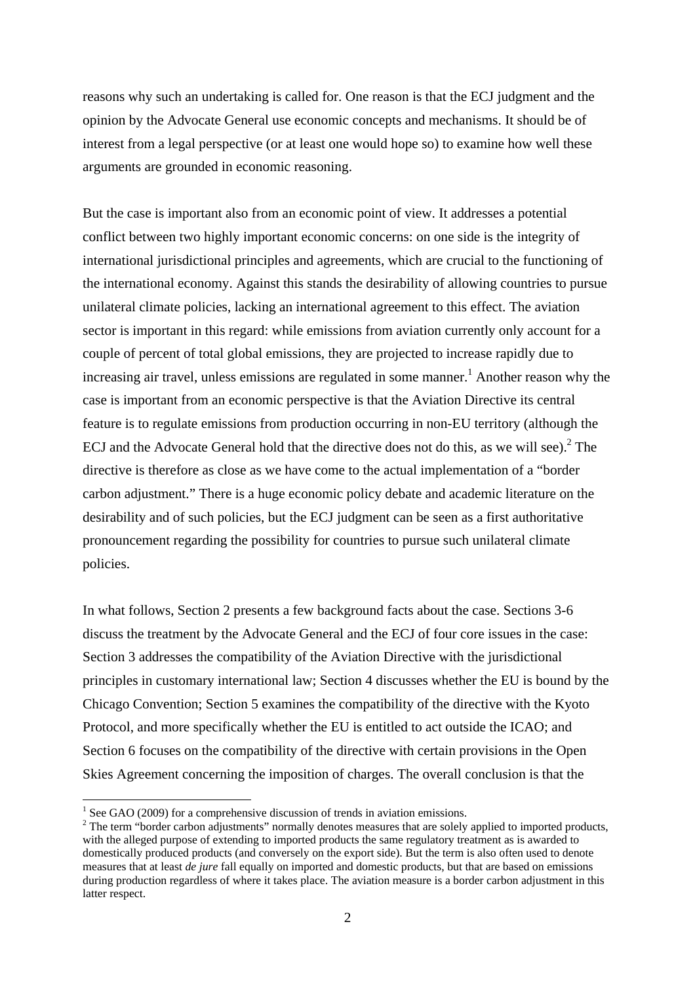reasons why such an undertaking is called for. One reason is that the ECJ judgment and the opinion by the Advocate General use economic concepts and mechanisms. It should be of interest from a legal perspective (or at least one would hope so) to examine how well these arguments are grounded in economic reasoning.

But the case is important also from an economic point of view. It addresses a potential conflict between two highly important economic concerns: on one side is the integrity of international jurisdictional principles and agreements, which are crucial to the functioning of the international economy. Against this stands the desirability of allowing countries to pursue unilateral climate policies, lacking an international agreement to this effect. The aviation sector is important in this regard: while emissions from aviation currently only account for a couple of percent of total global emissions, they are projected to increase rapidly due to increasing air travel, unless emissions are regulated in some manner.<sup>1</sup> Another reason why the case is important from an economic perspective is that the Aviation Directive its central feature is to regulate emissions from production occurring in non-EU territory (although the ECJ and the Advocate General hold that the directive does not do this, as we will see).<sup>2</sup> The directive is therefore as close as we have come to the actual implementation of a "border carbon adjustment." There is a huge economic policy debate and academic literature on the desirability and of such policies, but the ECJ judgment can be seen as a first authoritative pronouncement regarding the possibility for countries to pursue such unilateral climate policies.

In what follows, Section 2 presents a few background facts about the case. Sections 3-6 discuss the treatment by the Advocate General and the ECJ of four core issues in the case: Section 3 addresses the compatibility of the Aviation Directive with the jurisdictional principles in customary international law; Section 4 discusses whether the EU is bound by the Chicago Convention; Section 5 examines the compatibility of the directive with the Kyoto Protocol, and more specifically whether the EU is entitled to act outside the ICAO; and Section 6 focuses on the compatibility of the directive with certain provisions in the Open Skies Agreement concerning the imposition of charges. The overall conclusion is that the

-

 $<sup>1</sup>$  See GAO (2009) for a comprehensive discussion of trends in aviation emissions.</sup>

 $2$  The term "border carbon adjustments" normally denotes measures that are solely applied to imported products, with the alleged purpose of extending to imported products the same regulatory treatment as is awarded to domestically produced products (and conversely on the export side). But the term is also often used to denote measures that at least *de jure* fall equally on imported and domestic products, but that are based on emissions during production regardless of where it takes place. The aviation measure is a border carbon adjustment in this latter respect.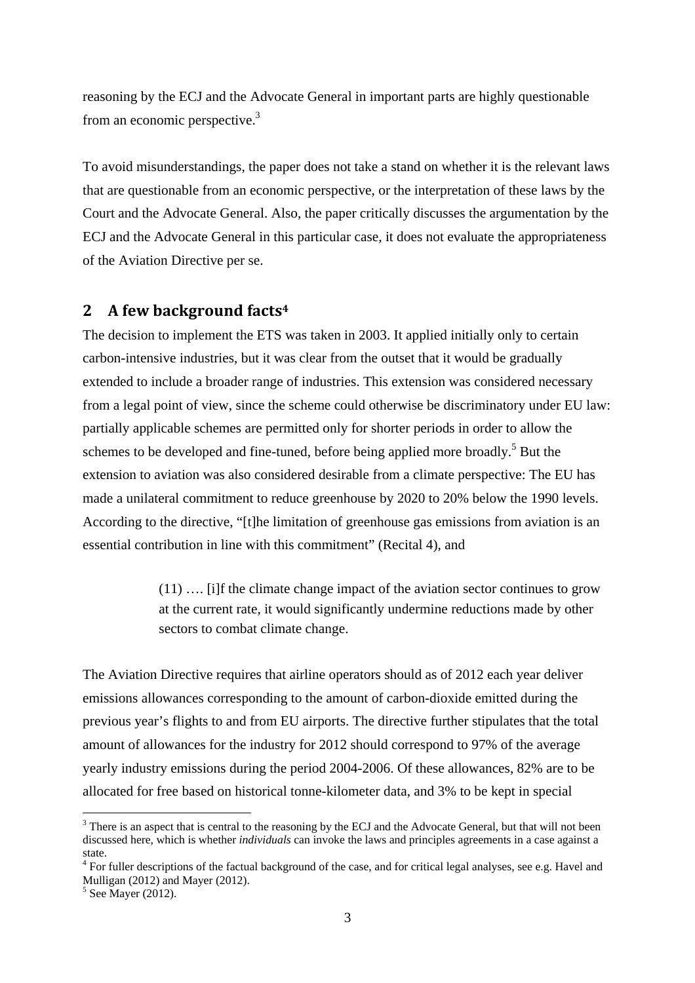reasoning by the ECJ and the Advocate General in important parts are highly questionable from an economic perspective. $3$ 

To avoid misunderstandings, the paper does not take a stand on whether it is the relevant laws that are questionable from an economic perspective, or the interpretation of these laws by the Court and the Advocate General. Also, the paper critically discusses the argumentation by the ECJ and the Advocate General in this particular case, it does not evaluate the appropriateness of the Aviation Directive per se.

#### **2 A few background facts4**

The decision to implement the ETS was taken in 2003. It applied initially only to certain carbon-intensive industries, but it was clear from the outset that it would be gradually extended to include a broader range of industries. This extension was considered necessary from a legal point of view, since the scheme could otherwise be discriminatory under EU law: partially applicable schemes are permitted only for shorter periods in order to allow the schemes to be developed and fine-tuned, before being applied more broadly.<sup>5</sup> But the extension to aviation was also considered desirable from a climate perspective: The EU has made a unilateral commitment to reduce greenhouse by 2020 to 20% below the 1990 levels. According to the directive, "[t]he limitation of greenhouse gas emissions from aviation is an essential contribution in line with this commitment" (Recital 4), and

> (11) …. [i]f the climate change impact of the aviation sector continues to grow at the current rate, it would significantly undermine reductions made by other sectors to combat climate change.

The Aviation Directive requires that airline operators should as of 2012 each year deliver emissions allowances corresponding to the amount of carbon-dioxide emitted during the previous year's flights to and from EU airports. The directive further stipulates that the total amount of allowances for the industry for 2012 should correspond to 97% of the average yearly industry emissions during the period 2004-2006. Of these allowances, 82% are to be allocated for free based on historical tonne-kilometer data, and 3% to be kept in special

<u>.</u>

 $3$  There is an aspect that is central to the reasoning by the ECJ and the Advocate General, but that will not been discussed here, which is whether *individuals* can invoke the laws and principles agreements in a case against a state.

<sup>&</sup>lt;sup>4</sup> For fuller descriptions of the factual background of the case, and for critical legal analyses, see e.g. Havel and Mulligan (2012) and Mayer (2012).

<sup>5</sup> See Mayer (2012).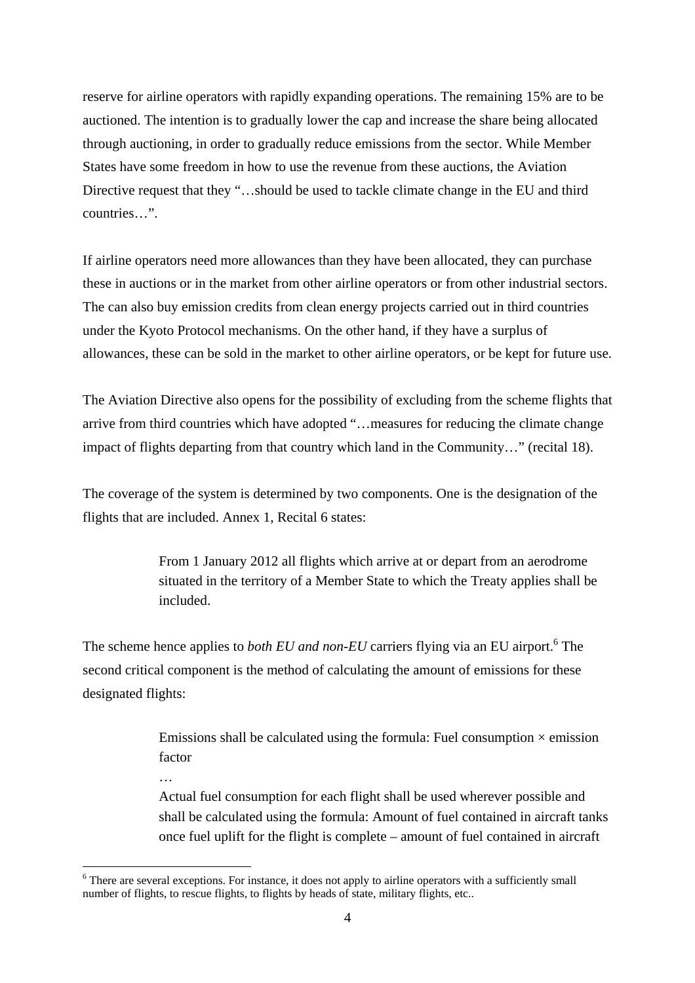reserve for airline operators with rapidly expanding operations. The remaining 15% are to be auctioned. The intention is to gradually lower the cap and increase the share being allocated through auctioning, in order to gradually reduce emissions from the sector. While Member States have some freedom in how to use the revenue from these auctions, the Aviation Directive request that they "…should be used to tackle climate change in the EU and third countries…"

If airline operators need more allowances than they have been allocated, they can purchase these in auctions or in the market from other airline operators or from other industrial sectors. The can also buy emission credits from clean energy projects carried out in third countries under the Kyoto Protocol mechanisms. On the other hand, if they have a surplus of allowances, these can be sold in the market to other airline operators, or be kept for future use.

The Aviation Directive also opens for the possibility of excluding from the scheme flights that arrive from third countries which have adopted "…measures for reducing the climate change impact of flights departing from that country which land in the Community…" (recital 18).

The coverage of the system is determined by two components. One is the designation of the flights that are included. Annex 1, Recital 6 states:

> From 1 January 2012 all flights which arrive at or depart from an aerodrome situated in the territory of a Member State to which the Treaty applies shall be included.

The scheme hence applies to *both EU and non-EU* carriers flying via an EU airport.<sup>6</sup> The second critical component is the method of calculating the amount of emissions for these designated flights:

> Emissions shall be calculated using the formula: Fuel consumption  $\times$  emission factor

Actual fuel consumption for each flight shall be used wherever possible and shall be calculated using the formula: Amount of fuel contained in aircraft tanks once fuel uplift for the flight is complete – amount of fuel contained in aircraft

…

<u>.</u>

<sup>&</sup>lt;sup>6</sup> There are several exceptions. For instance, it does not apply to airline operators with a sufficiently small number of flights, to rescue flights, to flights by heads of state, military flights, etc..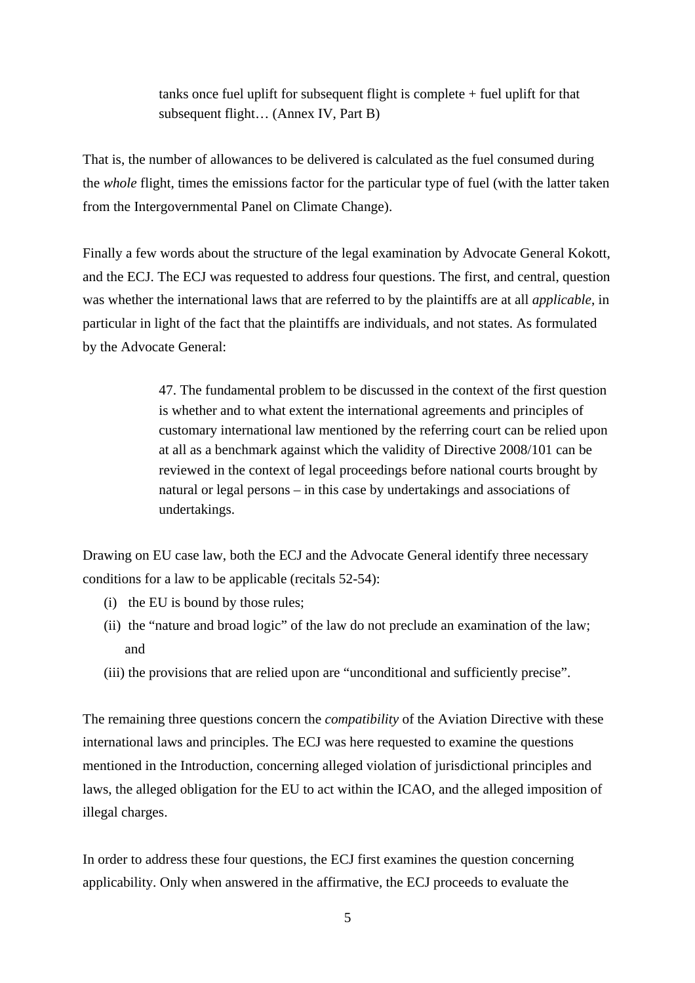tanks once fuel uplift for subsequent flight is complete + fuel uplift for that subsequent flight… (Annex IV, Part B)

That is, the number of allowances to be delivered is calculated as the fuel consumed during the *whole* flight, times the emissions factor for the particular type of fuel (with the latter taken from the Intergovernmental Panel on Climate Change).

Finally a few words about the structure of the legal examination by Advocate General Kokott, and the ECJ. The ECJ was requested to address four questions. The first, and central, question was whether the international laws that are referred to by the plaintiffs are at all *applicable*, in particular in light of the fact that the plaintiffs are individuals, and not states. As formulated by the Advocate General:

> 47. The fundamental problem to be discussed in the context of the first question is whether and to what extent the international agreements and principles of customary international law mentioned by the referring court can be relied upon at all as a benchmark against which the validity of Directive 2008/101 can be reviewed in the context of legal proceedings before national courts brought by natural or legal persons – in this case by undertakings and associations of undertakings.

Drawing on EU case law, both the ECJ and the Advocate General identify three necessary conditions for a law to be applicable (recitals 52-54):

- (i) the EU is bound by those rules;
- (ii) the "nature and broad logic" of the law do not preclude an examination of the law; and
- (iii) the provisions that are relied upon are "unconditional and sufficiently precise".

The remaining three questions concern the *compatibility* of the Aviation Directive with these international laws and principles. The ECJ was here requested to examine the questions mentioned in the Introduction, concerning alleged violation of jurisdictional principles and laws, the alleged obligation for the EU to act within the ICAO, and the alleged imposition of illegal charges.

In order to address these four questions, the ECJ first examines the question concerning applicability. Only when answered in the affirmative, the ECJ proceeds to evaluate the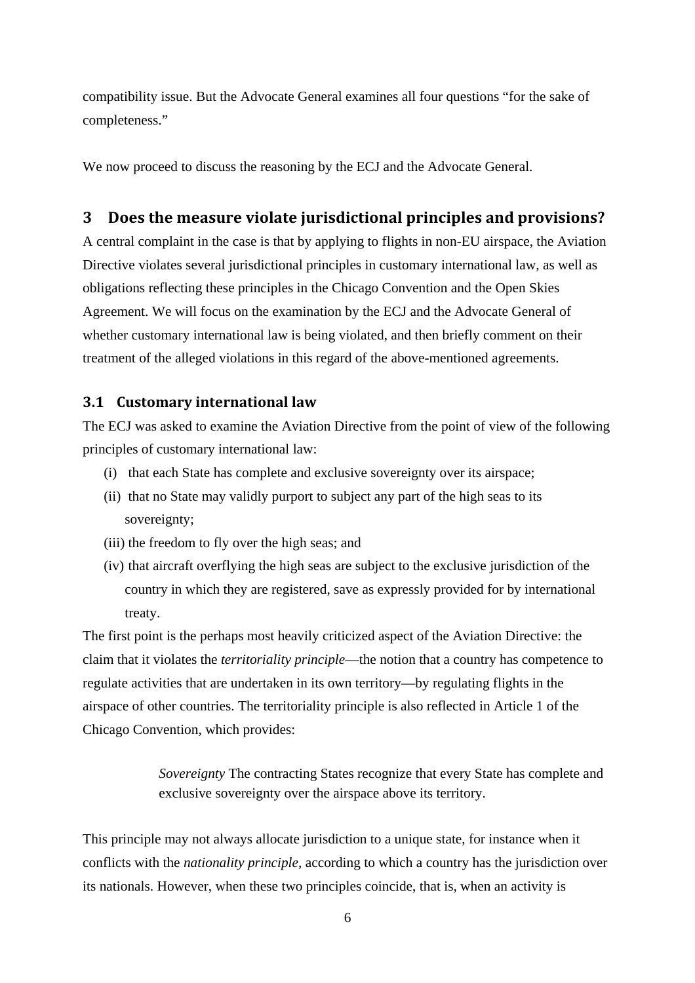compatibility issue. But the Advocate General examines all four questions "for the sake of completeness."

We now proceed to discuss the reasoning by the ECJ and the Advocate General.

#### **3 Does the measure violate jurisdictional principles and provisions?**

A central complaint in the case is that by applying to flights in non-EU airspace, the Aviation Directive violates several jurisdictional principles in customary international law, as well as obligations reflecting these principles in the Chicago Convention and the Open Skies Agreement. We will focus on the examination by the ECJ and the Advocate General of whether customary international law is being violated, and then briefly comment on their treatment of the alleged violations in this regard of the above-mentioned agreements.

#### **3.1 Customary international law**

The ECJ was asked to examine the Aviation Directive from the point of view of the following principles of customary international law:

- (i) that each State has complete and exclusive sovereignty over its airspace;
- (ii) that no State may validly purport to subject any part of the high seas to its sovereignty;
- (iii) the freedom to fly over the high seas; and
- (iv) that aircraft overflying the high seas are subject to the exclusive jurisdiction of the country in which they are registered, save as expressly provided for by international treaty.

The first point is the perhaps most heavily criticized aspect of the Aviation Directive: the claim that it violates the *territoriality principle*—the notion that a country has competence to regulate activities that are undertaken in its own territory—by regulating flights in the airspace of other countries. The territoriality principle is also reflected in Article 1 of the Chicago Convention, which provides:

> *Sovereignty* The contracting States recognize that every State has complete and exclusive sovereignty over the airspace above its territory.

This principle may not always allocate jurisdiction to a unique state, for instance when it conflicts with the *nationality principle*, according to which a country has the jurisdiction over its nationals. However, when these two principles coincide, that is, when an activity is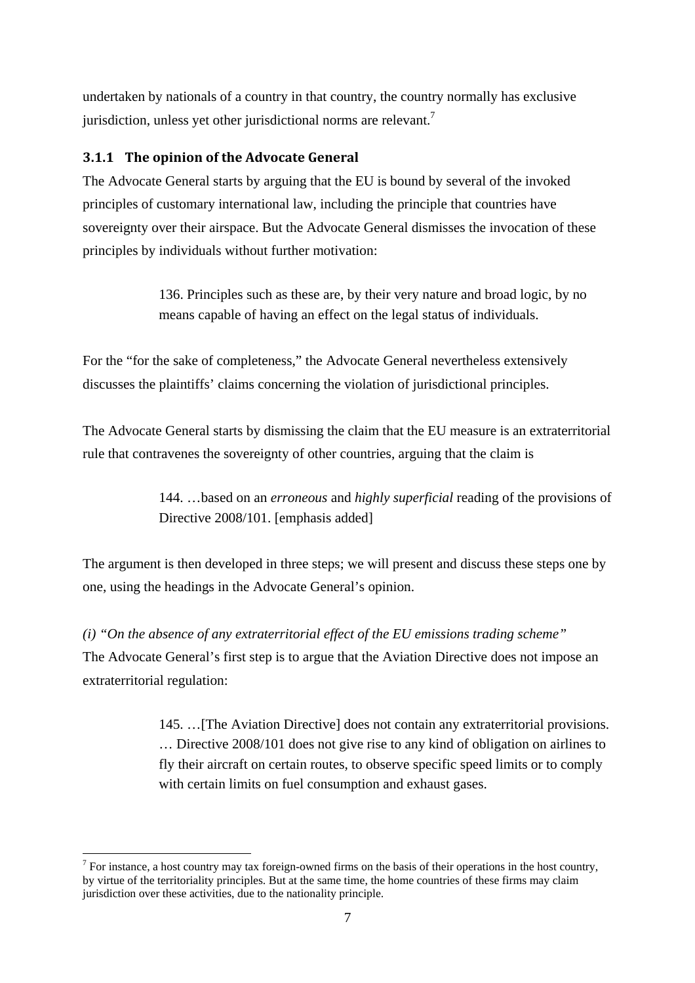undertaken by nationals of a country in that country, the country normally has exclusive jurisdiction, unless yet other jurisdictional norms are relevant.<sup>7</sup>

#### **3.1.1 The opinion of the Advocate General**

The Advocate General starts by arguing that the EU is bound by several of the invoked principles of customary international law, including the principle that countries have sovereignty over their airspace. But the Advocate General dismisses the invocation of these principles by individuals without further motivation:

> 136. Principles such as these are, by their very nature and broad logic, by no means capable of having an effect on the legal status of individuals.

For the "for the sake of completeness," the Advocate General nevertheless extensively discusses the plaintiffs' claims concerning the violation of jurisdictional principles.

The Advocate General starts by dismissing the claim that the EU measure is an extraterritorial rule that contravenes the sovereignty of other countries, arguing that the claim is

> 144. …based on an *erroneous* and *highly superficial* reading of the provisions of Directive 2008/101. [emphasis added]

The argument is then developed in three steps; we will present and discuss these steps one by one, using the headings in the Advocate General's opinion.

*(i) "On the absence of any extraterritorial effect of the EU emissions trading scheme"*  The Advocate General's first step is to argue that the Aviation Directive does not impose an extraterritorial regulation:

> 145. …[The Aviation Directive] does not contain any extraterritorial provisions. … Directive 2008/101 does not give rise to any kind of obligation on airlines to fly their aircraft on certain routes, to observe specific speed limits or to comply with certain limits on fuel consumption and exhaust gases.

<u>.</u>

 $<sup>7</sup>$  For instance, a host country may tax foreign-owned firms on the basis of their operations in the host country,</sup> by virtue of the territoriality principles. But at the same time, the home countries of these firms may claim jurisdiction over these activities, due to the nationality principle.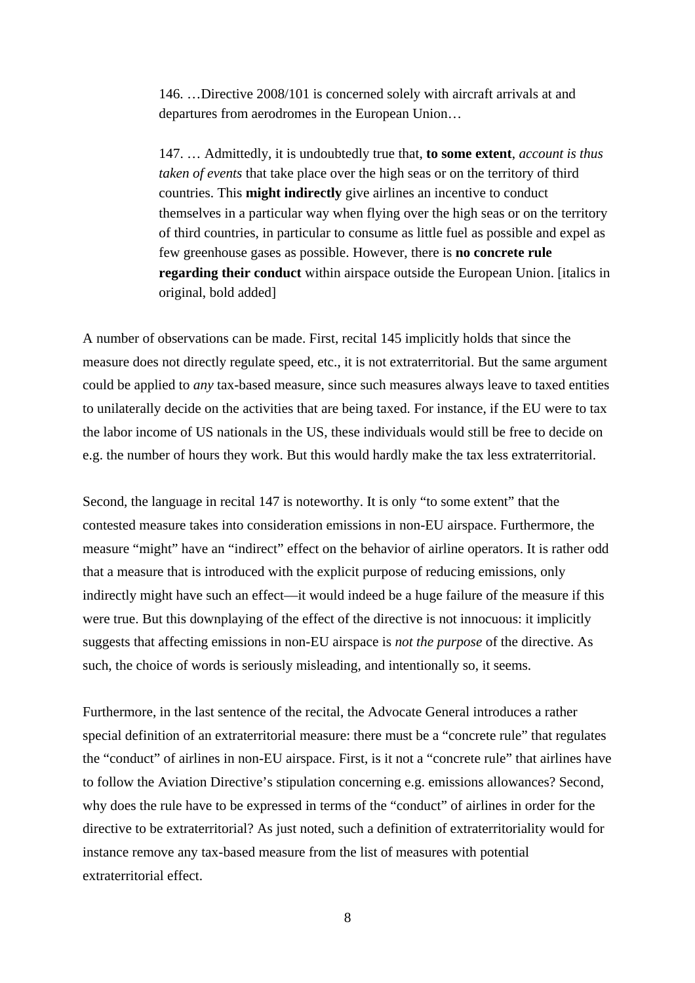146. …Directive 2008/101 is concerned solely with aircraft arrivals at and departures from aerodromes in the European Union…

147. … Admittedly, it is undoubtedly true that, **to some extent**, *account is thus taken of events* that take place over the high seas or on the territory of third countries. This **might indirectly** give airlines an incentive to conduct themselves in a particular way when flying over the high seas or on the territory of third countries, in particular to consume as little fuel as possible and expel as few greenhouse gases as possible. However, there is **no concrete rule regarding their conduct** within airspace outside the European Union. [italics in original, bold added]

A number of observations can be made. First, recital 145 implicitly holds that since the measure does not directly regulate speed, etc., it is not extraterritorial. But the same argument could be applied to *any* tax-based measure, since such measures always leave to taxed entities to unilaterally decide on the activities that are being taxed. For instance, if the EU were to tax the labor income of US nationals in the US, these individuals would still be free to decide on e.g. the number of hours they work. But this would hardly make the tax less extraterritorial.

Second, the language in recital 147 is noteworthy. It is only "to some extent" that the contested measure takes into consideration emissions in non-EU airspace. Furthermore, the measure "might" have an "indirect" effect on the behavior of airline operators. It is rather odd that a measure that is introduced with the explicit purpose of reducing emissions, only indirectly might have such an effect—it would indeed be a huge failure of the measure if this were true. But this downplaying of the effect of the directive is not innocuous: it implicitly suggests that affecting emissions in non-EU airspace is *not the purpose* of the directive. As such, the choice of words is seriously misleading, and intentionally so, it seems.

Furthermore, in the last sentence of the recital, the Advocate General introduces a rather special definition of an extraterritorial measure: there must be a "concrete rule" that regulates the "conduct" of airlines in non-EU airspace. First, is it not a "concrete rule" that airlines have to follow the Aviation Directive's stipulation concerning e.g. emissions allowances? Second, why does the rule have to be expressed in terms of the "conduct" of airlines in order for the directive to be extraterritorial? As just noted, such a definition of extraterritoriality would for instance remove any tax-based measure from the list of measures with potential extraterritorial effect.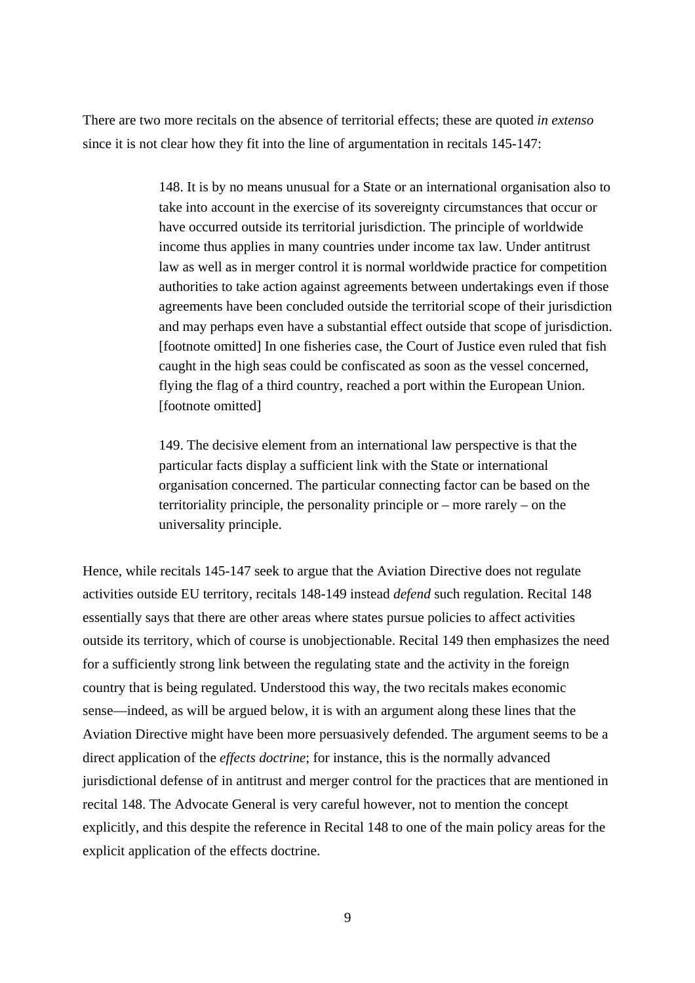There are two more recitals on the absence of territorial effects; these are quoted *in extenso* since it is not clear how they fit into the line of argumentation in recitals 145-147:

> 148. It is by no means unusual for a State or an international organisation also to take into account in the exercise of its sovereignty circumstances that occur or have occurred outside its territorial jurisdiction. The principle of worldwide income thus applies in many countries under income tax law. Under antitrust law as well as in merger control it is normal worldwide practice for competition authorities to take action against agreements between undertakings even if those agreements have been concluded outside the territorial scope of their jurisdiction and may perhaps even have a substantial effect outside that scope of jurisdiction. [footnote omitted] In one fisheries case, the Court of Justice even ruled that fish caught in the high seas could be confiscated as soon as the vessel concerned, flying the flag of a third country, reached a port within the European Union. [footnote omitted]

149. The decisive element from an international law perspective is that the particular facts display a sufficient link with the State or international organisation concerned. The particular connecting factor can be based on the territoriality principle, the personality principle or – more rarely – on the universality principle.

Hence, while recitals 145-147 seek to argue that the Aviation Directive does not regulate activities outside EU territory, recitals 148-149 instead *defend* such regulation. Recital 148 essentially says that there are other areas where states pursue policies to affect activities outside its territory, which of course is unobjectionable. Recital 149 then emphasizes the need for a sufficiently strong link between the regulating state and the activity in the foreign country that is being regulated. Understood this way, the two recitals makes economic sense—indeed, as will be argued below, it is with an argument along these lines that the Aviation Directive might have been more persuasively defended. The argument seems to be a direct application of the *effects doctrine*; for instance, this is the normally advanced jurisdictional defense of in antitrust and merger control for the practices that are mentioned in recital 148. The Advocate General is very careful however, not to mention the concept explicitly, and this despite the reference in Recital 148 to one of the main policy areas for the explicit application of the effects doctrine.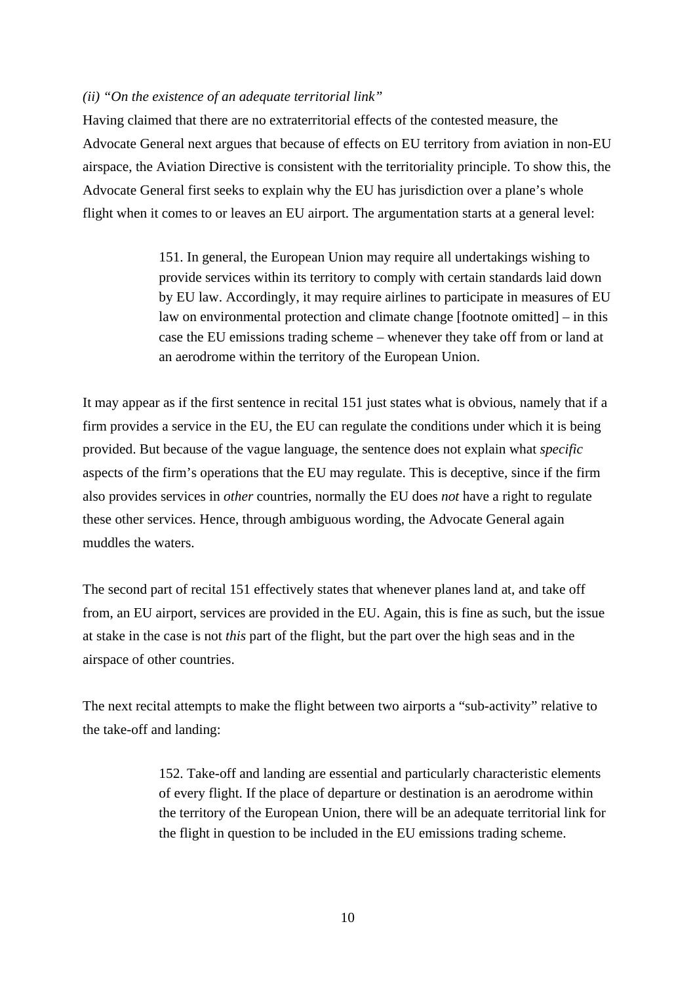#### *(ii) "On the existence of an adequate territorial link"*

Having claimed that there are no extraterritorial effects of the contested measure, the Advocate General next argues that because of effects on EU territory from aviation in non-EU airspace, the Aviation Directive is consistent with the territoriality principle. To show this, the Advocate General first seeks to explain why the EU has jurisdiction over a plane's whole flight when it comes to or leaves an EU airport. The argumentation starts at a general level:

> 151. In general, the European Union may require all undertakings wishing to provide services within its territory to comply with certain standards laid down by EU law. Accordingly, it may require airlines to participate in measures of EU law on environmental protection and climate change [footnote omitted] – in this case the EU emissions trading scheme – whenever they take off from or land at an aerodrome within the territory of the European Union.

It may appear as if the first sentence in recital 151 just states what is obvious, namely that if a firm provides a service in the EU, the EU can regulate the conditions under which it is being provided. But because of the vague language, the sentence does not explain what *specific*  aspects of the firm's operations that the EU may regulate. This is deceptive, since if the firm also provides services in *other* countries, normally the EU does *not* have a right to regulate these other services. Hence, through ambiguous wording, the Advocate General again muddles the waters.

The second part of recital 151 effectively states that whenever planes land at, and take off from, an EU airport, services are provided in the EU. Again, this is fine as such, but the issue at stake in the case is not *this* part of the flight, but the part over the high seas and in the airspace of other countries.

The next recital attempts to make the flight between two airports a "sub-activity" relative to the take-off and landing:

> 152. Take-off and landing are essential and particularly characteristic elements of every flight. If the place of departure or destination is an aerodrome within the territory of the European Union, there will be an adequate territorial link for the flight in question to be included in the EU emissions trading scheme.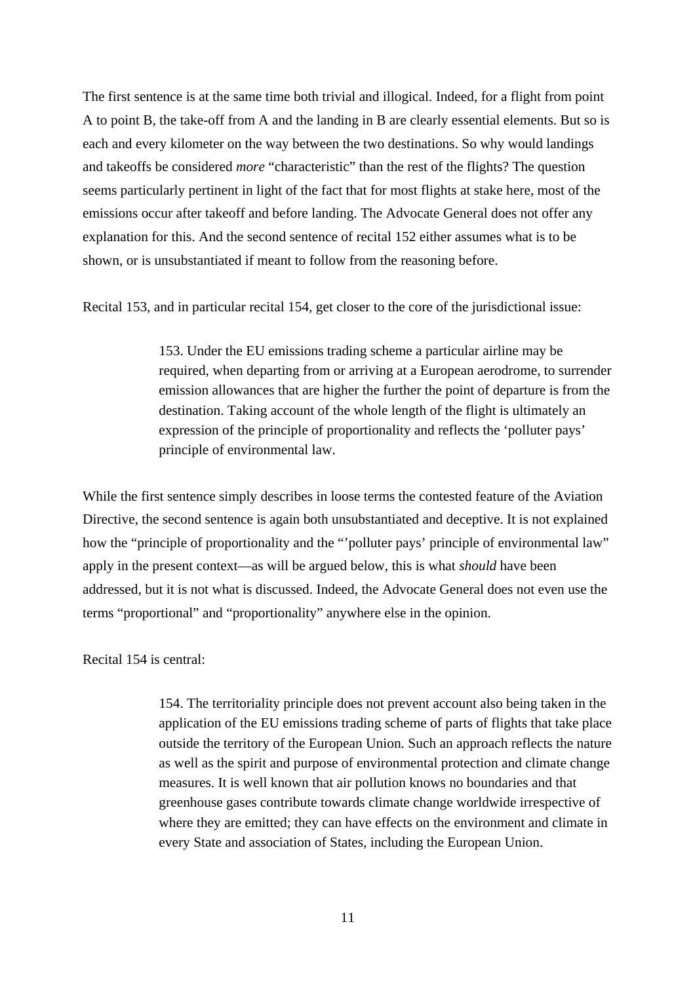The first sentence is at the same time both trivial and illogical. Indeed, for a flight from point A to point B, the take-off from A and the landing in B are clearly essential elements. But so is each and every kilometer on the way between the two destinations. So why would landings and takeoffs be considered *more* "characteristic" than the rest of the flights? The question seems particularly pertinent in light of the fact that for most flights at stake here, most of the emissions occur after takeoff and before landing. The Advocate General does not offer any explanation for this. And the second sentence of recital 152 either assumes what is to be shown, or is unsubstantiated if meant to follow from the reasoning before.

Recital 153, and in particular recital 154, get closer to the core of the jurisdictional issue:

153. Under the EU emissions trading scheme a particular airline may be required, when departing from or arriving at a European aerodrome, to surrender emission allowances that are higher the further the point of departure is from the destination. Taking account of the whole length of the flight is ultimately an expression of the principle of proportionality and reflects the 'polluter pays' principle of environmental law.

While the first sentence simply describes in loose terms the contested feature of the Aviation Directive, the second sentence is again both unsubstantiated and deceptive. It is not explained how the "principle of proportionality and the "'polluter pays' principle of environmental law" apply in the present context—as will be argued below, this is what *should* have been addressed, but it is not what is discussed. Indeed, the Advocate General does not even use the terms "proportional" and "proportionality" anywhere else in the opinion.

Recital 154 is central:

154. The territoriality principle does not prevent account also being taken in the application of the EU emissions trading scheme of parts of flights that take place outside the territory of the European Union. Such an approach reflects the nature as well as the spirit and purpose of environmental protection and climate change measures. It is well known that air pollution knows no boundaries and that greenhouse gases contribute towards climate change worldwide irrespective of where they are emitted; they can have effects on the environment and climate in every State and association of States, including the European Union.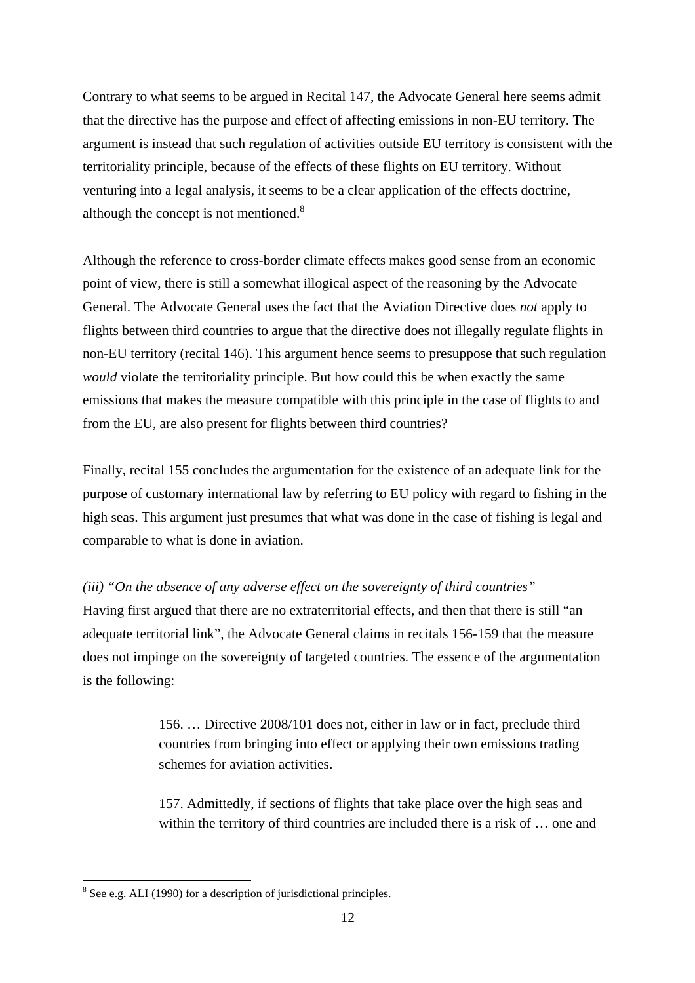Contrary to what seems to be argued in Recital 147, the Advocate General here seems admit that the directive has the purpose and effect of affecting emissions in non-EU territory. The argument is instead that such regulation of activities outside EU territory is consistent with the territoriality principle, because of the effects of these flights on EU territory. Without venturing into a legal analysis, it seems to be a clear application of the effects doctrine, although the concept is not mentioned. $8$ 

Although the reference to cross-border climate effects makes good sense from an economic point of view, there is still a somewhat illogical aspect of the reasoning by the Advocate General. The Advocate General uses the fact that the Aviation Directive does *not* apply to flights between third countries to argue that the directive does not illegally regulate flights in non-EU territory (recital 146). This argument hence seems to presuppose that such regulation *would* violate the territoriality principle. But how could this be when exactly the same emissions that makes the measure compatible with this principle in the case of flights to and from the EU, are also present for flights between third countries?

Finally, recital 155 concludes the argumentation for the existence of an adequate link for the purpose of customary international law by referring to EU policy with regard to fishing in the high seas. This argument just presumes that what was done in the case of fishing is legal and comparable to what is done in aviation.

*(iii) "On the absence of any adverse effect on the sovereignty of third countries"* 

Having first argued that there are no extraterritorial effects, and then that there is still "an adequate territorial link", the Advocate General claims in recitals 156-159 that the measure does not impinge on the sovereignty of targeted countries. The essence of the argumentation is the following:

> 156. … Directive 2008/101 does not, either in law or in fact, preclude third countries from bringing into effect or applying their own emissions trading schemes for aviation activities.

157. Admittedly, if sections of flights that take place over the high seas and within the territory of third countries are included there is a risk of … one and

<sup>&</sup>lt;sup>8</sup> See e.g. ALI (1990) for a description of jurisdictional principles.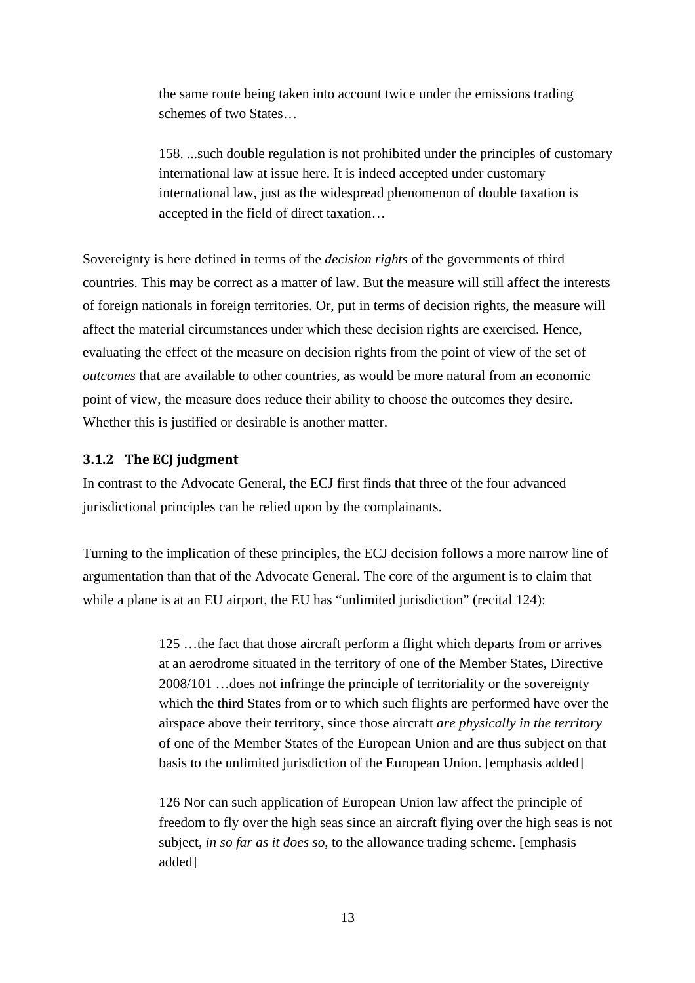the same route being taken into account twice under the emissions trading schemes of two States…

158. ...such double regulation is not prohibited under the principles of customary international law at issue here. It is indeed accepted under customary international law, just as the widespread phenomenon of double taxation is accepted in the field of direct taxation…

Sovereignty is here defined in terms of the *decision rights* of the governments of third countries. This may be correct as a matter of law. But the measure will still affect the interests of foreign nationals in foreign territories. Or, put in terms of decision rights, the measure will affect the material circumstances under which these decision rights are exercised. Hence, evaluating the effect of the measure on decision rights from the point of view of the set of *outcomes* that are available to other countries, as would be more natural from an economic point of view, the measure does reduce their ability to choose the outcomes they desire. Whether this is justified or desirable is another matter.

#### **3.1.2 The ECJ judgment**

In contrast to the Advocate General, the ECJ first finds that three of the four advanced jurisdictional principles can be relied upon by the complainants.

Turning to the implication of these principles, the ECJ decision follows a more narrow line of argumentation than that of the Advocate General. The core of the argument is to claim that while a plane is at an EU airport, the EU has "unlimited jurisdiction" (recital 124):

> 125 …the fact that those aircraft perform a flight which departs from or arrives at an aerodrome situated in the territory of one of the Member States, Directive 2008/101 …does not infringe the principle of territoriality or the sovereignty which the third States from or to which such flights are performed have over the airspace above their territory, since those aircraft *are physically in the territory* of one of the Member States of the European Union and are thus subject on that basis to the unlimited jurisdiction of the European Union. [emphasis added]

> 126 Nor can such application of European Union law affect the principle of freedom to fly over the high seas since an aircraft flying over the high seas is not subject, *in so far as it does so*, to the allowance trading scheme. [emphasis added]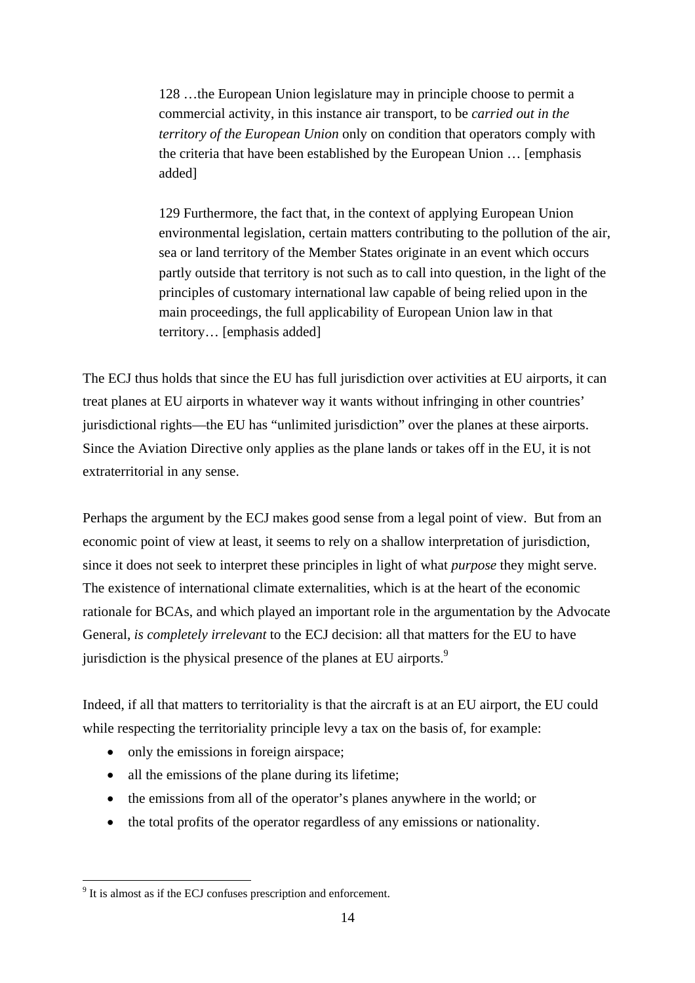128 …the European Union legislature may in principle choose to permit a commercial activity, in this instance air transport, to be *carried out in the territory of the European Union* only on condition that operators comply with the criteria that have been established by the European Union … [emphasis added]

129 Furthermore, the fact that, in the context of applying European Union environmental legislation, certain matters contributing to the pollution of the air, sea or land territory of the Member States originate in an event which occurs partly outside that territory is not such as to call into question, in the light of the principles of customary international law capable of being relied upon in the main proceedings, the full applicability of European Union law in that territory… [emphasis added]

The ECJ thus holds that since the EU has full jurisdiction over activities at EU airports, it can treat planes at EU airports in whatever way it wants without infringing in other countries' jurisdictional rights—the EU has "unlimited jurisdiction" over the planes at these airports. Since the Aviation Directive only applies as the plane lands or takes off in the EU, it is not extraterritorial in any sense.

Perhaps the argument by the ECJ makes good sense from a legal point of view. But from an economic point of view at least, it seems to rely on a shallow interpretation of jurisdiction, since it does not seek to interpret these principles in light of what *purpose* they might serve. The existence of international climate externalities, which is at the heart of the economic rationale for BCAs, and which played an important role in the argumentation by the Advocate General, *is completely irrelevant* to the ECJ decision: all that matters for the EU to have jurisdiction is the physical presence of the planes at EU airports.<sup>9</sup>

Indeed, if all that matters to territoriality is that the aircraft is at an EU airport, the EU could while respecting the territoriality principle levy a tax on the basis of, for example:

- only the emissions in foreign airspace;
- all the emissions of the plane during its lifetime;
- the emissions from all of the operator's planes anywhere in the world; or
- the total profits of the operator regardless of any emissions or nationality.

<sup>&</sup>lt;sup>9</sup> It is almost as if the ECJ confuses prescription and enforcement.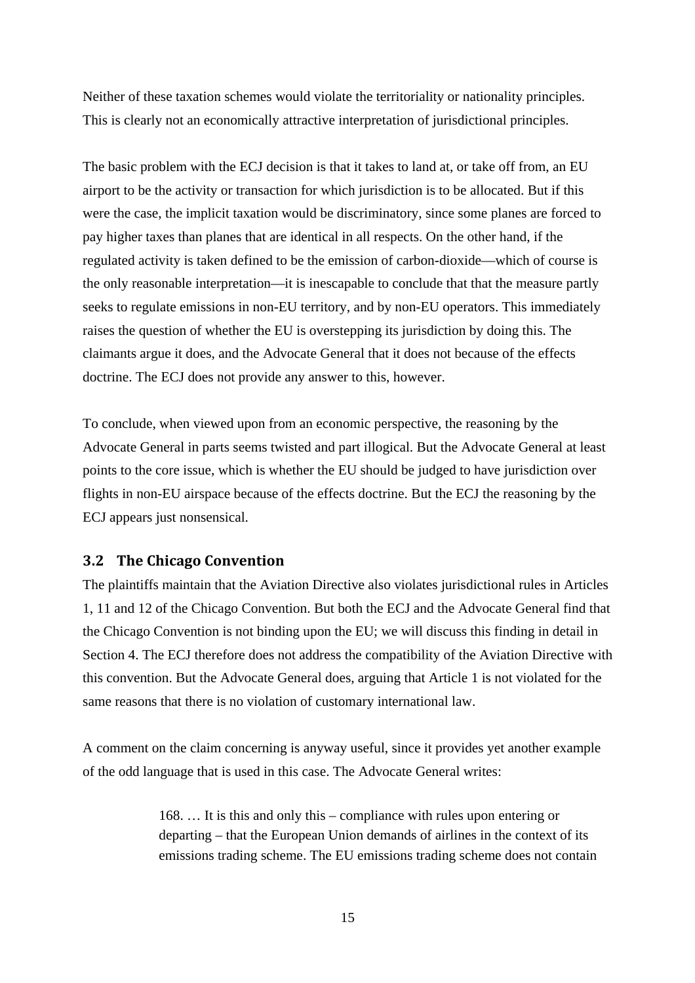Neither of these taxation schemes would violate the territoriality or nationality principles. This is clearly not an economically attractive interpretation of jurisdictional principles.

The basic problem with the ECJ decision is that it takes to land at, or take off from, an EU airport to be the activity or transaction for which jurisdiction is to be allocated. But if this were the case, the implicit taxation would be discriminatory, since some planes are forced to pay higher taxes than planes that are identical in all respects. On the other hand, if the regulated activity is taken defined to be the emission of carbon-dioxide—which of course is the only reasonable interpretation—it is inescapable to conclude that that the measure partly seeks to regulate emissions in non-EU territory, and by non-EU operators. This immediately raises the question of whether the EU is overstepping its jurisdiction by doing this. The claimants argue it does, and the Advocate General that it does not because of the effects doctrine. The ECJ does not provide any answer to this, however.

To conclude, when viewed upon from an economic perspective, the reasoning by the Advocate General in parts seems twisted and part illogical. But the Advocate General at least points to the core issue, which is whether the EU should be judged to have jurisdiction over flights in non-EU airspace because of the effects doctrine. But the ECJ the reasoning by the ECJ appears just nonsensical.

#### **3.2 The Chicago Convention**

The plaintiffs maintain that the Aviation Directive also violates jurisdictional rules in Articles 1, 11 and 12 of the Chicago Convention. But both the ECJ and the Advocate General find that the Chicago Convention is not binding upon the EU; we will discuss this finding in detail in Section 4. The ECJ therefore does not address the compatibility of the Aviation Directive with this convention. But the Advocate General does, arguing that Article 1 is not violated for the same reasons that there is no violation of customary international law.

A comment on the claim concerning is anyway useful, since it provides yet another example of the odd language that is used in this case. The Advocate General writes:

> 168. … It is this and only this – compliance with rules upon entering or departing – that the European Union demands of airlines in the context of its emissions trading scheme. The EU emissions trading scheme does not contain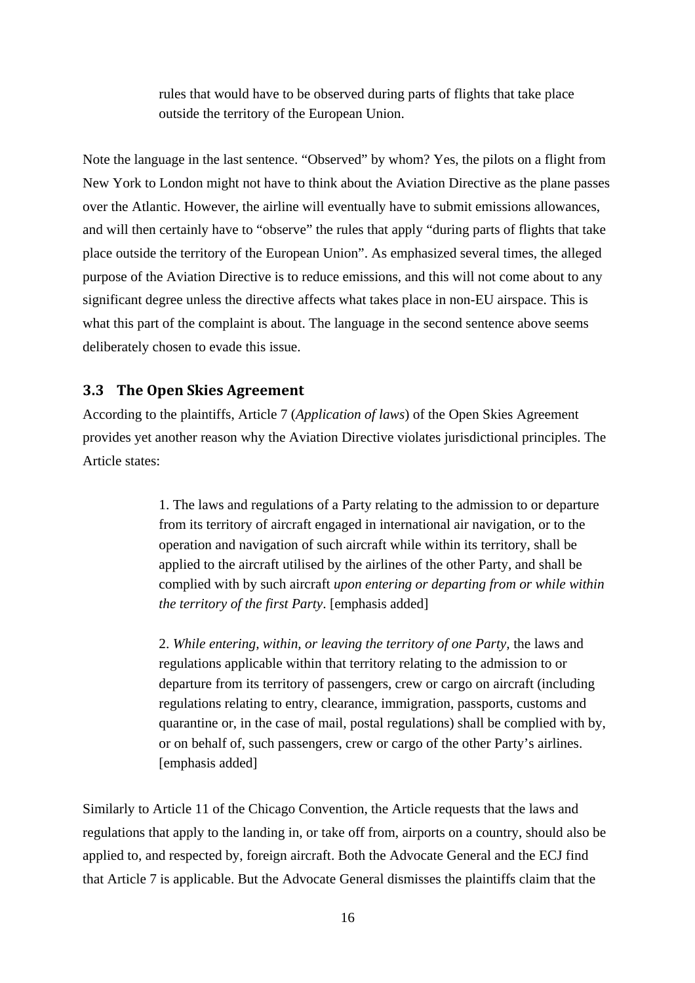rules that would have to be observed during parts of flights that take place outside the territory of the European Union.

Note the language in the last sentence. "Observed" by whom? Yes, the pilots on a flight from New York to London might not have to think about the Aviation Directive as the plane passes over the Atlantic. However, the airline will eventually have to submit emissions allowances, and will then certainly have to "observe" the rules that apply "during parts of flights that take place outside the territory of the European Union". As emphasized several times, the alleged purpose of the Aviation Directive is to reduce emissions, and this will not come about to any significant degree unless the directive affects what takes place in non-EU airspace. This is what this part of the complaint is about. The language in the second sentence above seems deliberately chosen to evade this issue.

#### **3.3 The Open Skies Agreement**

According to the plaintiffs, Article 7 (*Application of laws*) of the Open Skies Agreement provides yet another reason why the Aviation Directive violates jurisdictional principles. The Article states:

> 1. The laws and regulations of a Party relating to the admission to or departure from its territory of aircraft engaged in international air navigation, or to the operation and navigation of such aircraft while within its territory, shall be applied to the aircraft utilised by the airlines of the other Party, and shall be complied with by such aircraft *upon entering or departing from or while within the territory of the first Party*. [emphasis added]

> 2. *While entering, within, or leaving the territory of one Party,* the laws and regulations applicable within that territory relating to the admission to or departure from its territory of passengers, crew or cargo on aircraft (including regulations relating to entry, clearance, immigration, passports, customs and quarantine or, in the case of mail, postal regulations) shall be complied with by, or on behalf of, such passengers, crew or cargo of the other Party's airlines. [emphasis added]

Similarly to Article 11 of the Chicago Convention, the Article requests that the laws and regulations that apply to the landing in, or take off from, airports on a country, should also be applied to, and respected by, foreign aircraft. Both the Advocate General and the ECJ find that Article 7 is applicable. But the Advocate General dismisses the plaintiffs claim that the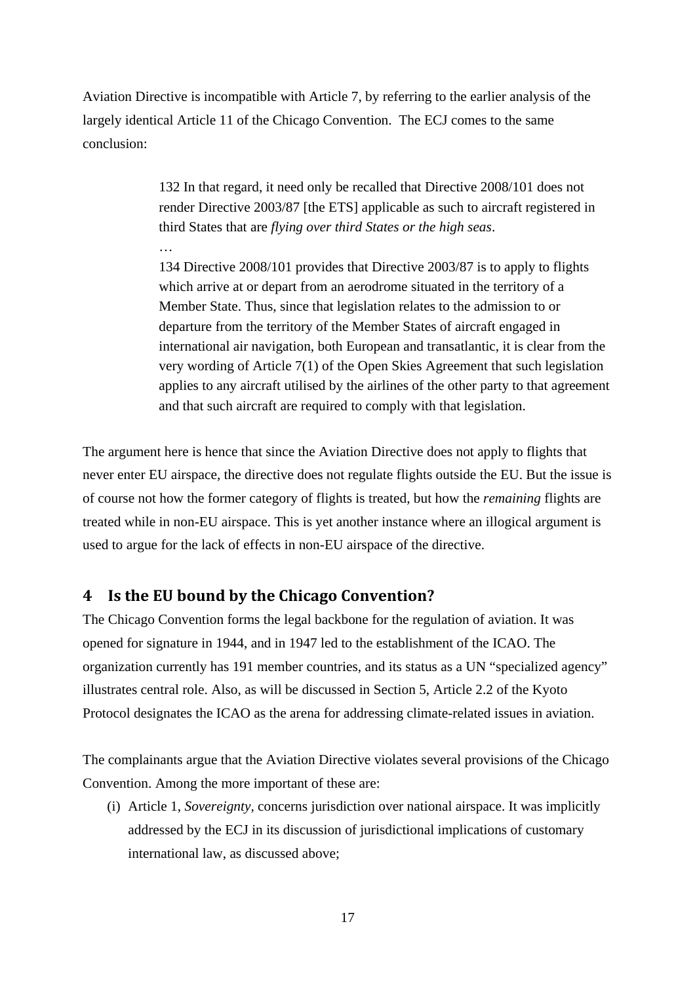Aviation Directive is incompatible with Article 7, by referring to the earlier analysis of the largely identical Article 11 of the Chicago Convention. The ECJ comes to the same conclusion:

> 132 In that regard, it need only be recalled that Directive 2008/101 does not render Directive 2003/87 [the ETS] applicable as such to aircraft registered in third States that are *flying over third States or the high seas*.

134 Directive 2008/101 provides that Directive 2003/87 is to apply to flights which arrive at or depart from an aerodrome situated in the territory of a Member State. Thus, since that legislation relates to the admission to or departure from the territory of the Member States of aircraft engaged in international air navigation, both European and transatlantic, it is clear from the very wording of Article 7(1) of the Open Skies Agreement that such legislation applies to any aircraft utilised by the airlines of the other party to that agreement and that such aircraft are required to comply with that legislation.

The argument here is hence that since the Aviation Directive does not apply to flights that never enter EU airspace, the directive does not regulate flights outside the EU. But the issue is of course not how the former category of flights is treated, but how the *remaining* flights are treated while in non-EU airspace. This is yet another instance where an illogical argument is used to argue for the lack of effects in non-EU airspace of the directive.

#### **4 Is the EU bound by the Chicago Convention?**

…

The Chicago Convention forms the legal backbone for the regulation of aviation. It was opened for signature in 1944, and in 1947 led to the establishment of the ICAO. The organization currently has 191 member countries, and its status as a UN "specialized agency" illustrates central role. Also, as will be discussed in Section 5, Article 2.2 of the Kyoto Protocol designates the ICAO as the arena for addressing climate-related issues in aviation.

The complainants argue that the Aviation Directive violates several provisions of the Chicago Convention. Among the more important of these are:

(i) Article 1, *Sovereignty,* concerns jurisdiction over national airspace. It was implicitly addressed by the ECJ in its discussion of jurisdictional implications of customary international law, as discussed above;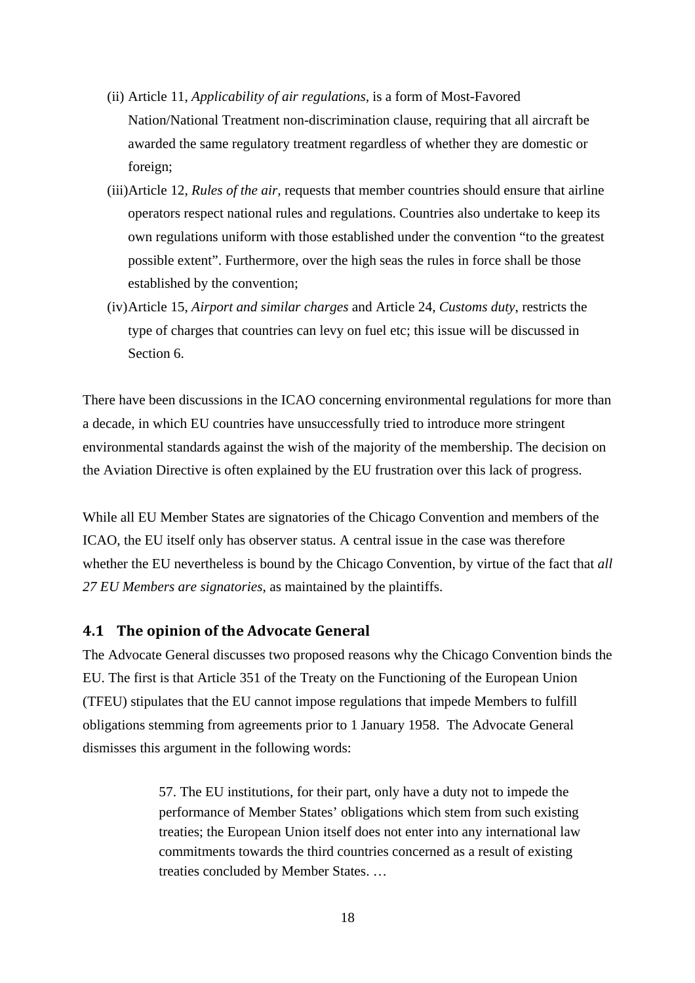- (ii) Article 11, *Applicability of air regulations,* is a form of Most-Favored Nation/National Treatment non-discrimination clause, requiring that all aircraft be awarded the same regulatory treatment regardless of whether they are domestic or foreign;
- (iii)Article 12, *Rules of the air,* requests that member countries should ensure that airline operators respect national rules and regulations. Countries also undertake to keep its own regulations uniform with those established under the convention "to the greatest possible extent". Furthermore, over the high seas the rules in force shall be those established by the convention;
- (iv)Article 15, *Airport and similar charges* and Article 24, *Customs duty*, restricts the type of charges that countries can levy on fuel etc; this issue will be discussed in Section 6.

There have been discussions in the ICAO concerning environmental regulations for more than a decade, in which EU countries have unsuccessfully tried to introduce more stringent environmental standards against the wish of the majority of the membership. The decision on the Aviation Directive is often explained by the EU frustration over this lack of progress.

While all EU Member States are signatories of the Chicago Convention and members of the ICAO, the EU itself only has observer status. A central issue in the case was therefore whether the EU nevertheless is bound by the Chicago Convention, by virtue of the fact that *all 27 EU Members are signatories*, as maintained by the plaintiffs.

#### **4.1 The opinion of the Advocate General**

The Advocate General discusses two proposed reasons why the Chicago Convention binds the EU. The first is that Article 351 of the Treaty on the Functioning of the European Union (TFEU) stipulates that the EU cannot impose regulations that impede Members to fulfill obligations stemming from agreements prior to 1 January 1958. The Advocate General dismisses this argument in the following words:

> 57. The EU institutions, for their part, only have a duty not to impede the performance of Member States' obligations which stem from such existing treaties; the European Union itself does not enter into any international law commitments towards the third countries concerned as a result of existing treaties concluded by Member States. …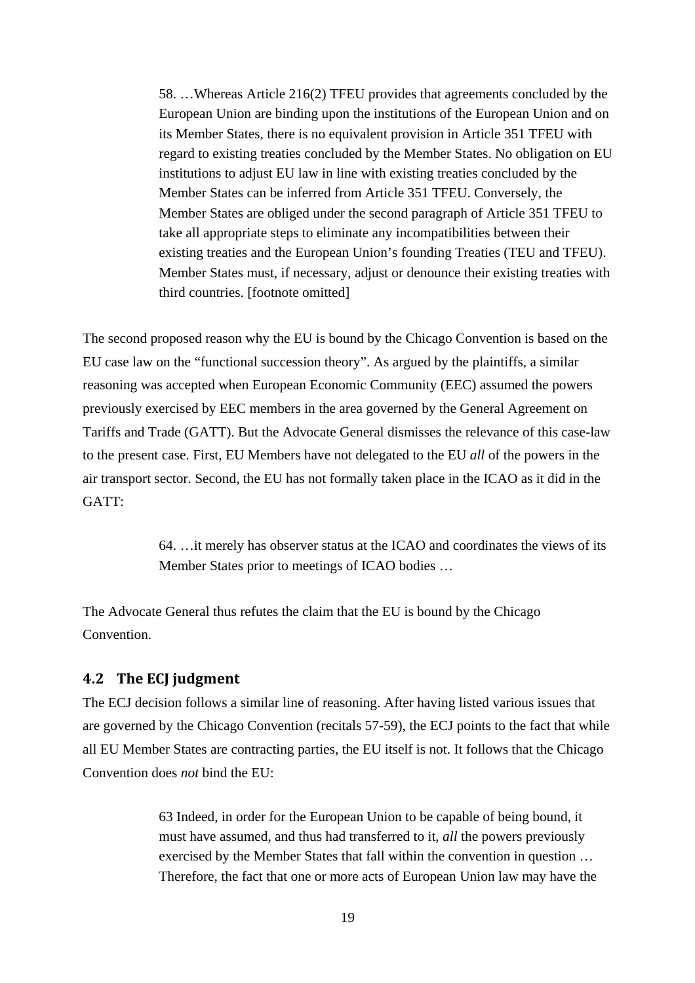58. …Whereas Article 216(2) TFEU provides that agreements concluded by the European Union are binding upon the institutions of the European Union and on its Member States, there is no equivalent provision in Article 351 TFEU with regard to existing treaties concluded by the Member States. No obligation on EU institutions to adjust EU law in line with existing treaties concluded by the Member States can be inferred from Article 351 TFEU. Conversely, the Member States are obliged under the second paragraph of Article 351 TFEU to take all appropriate steps to eliminate any incompatibilities between their existing treaties and the European Union's founding Treaties (TEU and TFEU). Member States must, if necessary, adjust or denounce their existing treaties with third countries. [footnote omitted]

The second proposed reason why the EU is bound by the Chicago Convention is based on the EU case law on the "functional succession theory". As argued by the plaintiffs, a similar reasoning was accepted when European Economic Community (EEC) assumed the powers previously exercised by EEC members in the area governed by the General Agreement on Tariffs and Trade (GATT). But the Advocate General dismisses the relevance of this case-law to the present case. First, EU Members have not delegated to the EU *all* of the powers in the air transport sector. Second, the EU has not formally taken place in the ICAO as it did in the GATT:

> 64. …it merely has observer status at the ICAO and coordinates the views of its Member States prior to meetings of ICAO bodies …

The Advocate General thus refutes the claim that the EU is bound by the Chicago Convention.

#### **4.2 The ECJ judgment**

The ECJ decision follows a similar line of reasoning. After having listed various issues that are governed by the Chicago Convention (recitals 57-59), the ECJ points to the fact that while all EU Member States are contracting parties, the EU itself is not. It follows that the Chicago Convention does *not* bind the EU:

> 63 Indeed, in order for the European Union to be capable of being bound, it must have assumed, and thus had transferred to it, *all* the powers previously exercised by the Member States that fall within the convention in question … Therefore, the fact that one or more acts of European Union law may have the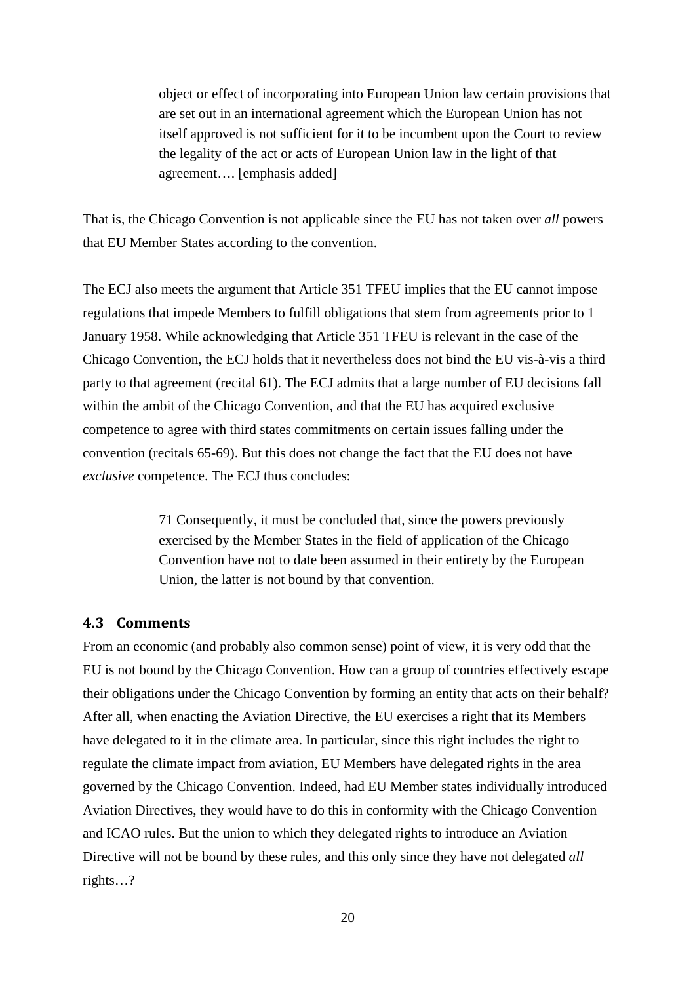object or effect of incorporating into European Union law certain provisions that are set out in an international agreement which the European Union has not itself approved is not sufficient for it to be incumbent upon the Court to review the legality of the act or acts of European Union law in the light of that agreement…. [emphasis added]

That is, the Chicago Convention is not applicable since the EU has not taken over *all* powers that EU Member States according to the convention.

The ECJ also meets the argument that Article 351 TFEU implies that the EU cannot impose regulations that impede Members to fulfill obligations that stem from agreements prior to 1 January 1958. While acknowledging that Article 351 TFEU is relevant in the case of the Chicago Convention, the ECJ holds that it nevertheless does not bind the EU vis-à-vis a third party to that agreement (recital 61). The ECJ admits that a large number of EU decisions fall within the ambit of the Chicago Convention, and that the EU has acquired exclusive competence to agree with third states commitments on certain issues falling under the convention (recitals 65-69). But this does not change the fact that the EU does not have *exclusive* competence. The ECJ thus concludes:

> 71 Consequently, it must be concluded that, since the powers previously exercised by the Member States in the field of application of the Chicago Convention have not to date been assumed in their entirety by the European Union, the latter is not bound by that convention.

#### **4.3 Comments**

From an economic (and probably also common sense) point of view, it is very odd that the EU is not bound by the Chicago Convention. How can a group of countries effectively escape their obligations under the Chicago Convention by forming an entity that acts on their behalf? After all, when enacting the Aviation Directive, the EU exercises a right that its Members have delegated to it in the climate area. In particular, since this right includes the right to regulate the climate impact from aviation, EU Members have delegated rights in the area governed by the Chicago Convention. Indeed, had EU Member states individually introduced Aviation Directives, they would have to do this in conformity with the Chicago Convention and ICAO rules. But the union to which they delegated rights to introduce an Aviation Directive will not be bound by these rules, and this only since they have not delegated *all*  rights…?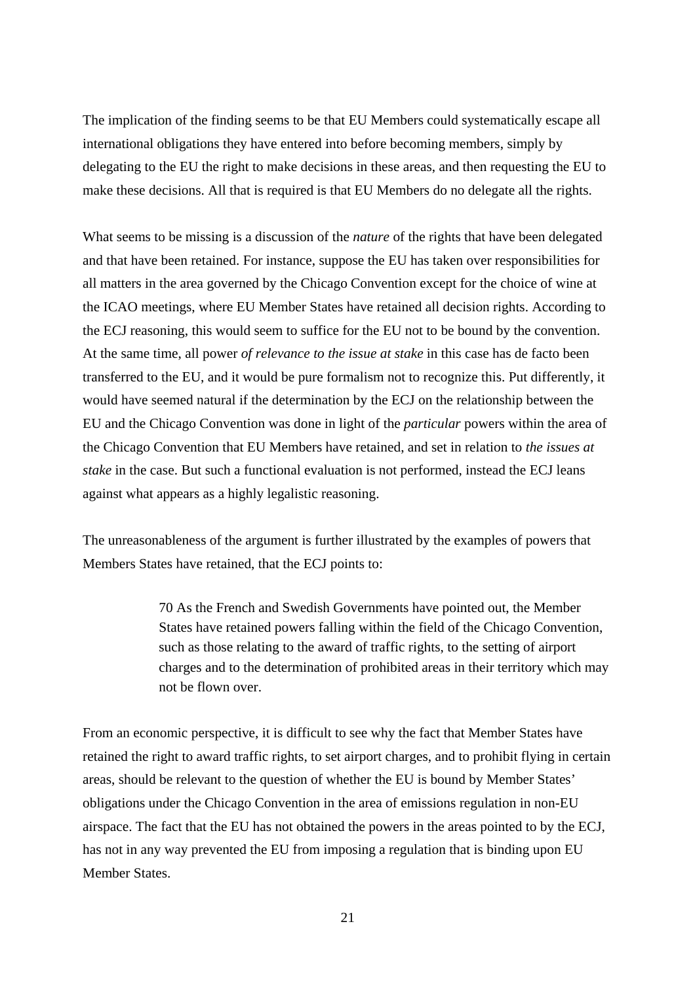The implication of the finding seems to be that EU Members could systematically escape all international obligations they have entered into before becoming members, simply by delegating to the EU the right to make decisions in these areas, and then requesting the EU to make these decisions. All that is required is that EU Members do no delegate all the rights.

What seems to be missing is a discussion of the *nature* of the rights that have been delegated and that have been retained. For instance, suppose the EU has taken over responsibilities for all matters in the area governed by the Chicago Convention except for the choice of wine at the ICAO meetings, where EU Member States have retained all decision rights. According to the ECJ reasoning, this would seem to suffice for the EU not to be bound by the convention. At the same time, all power *of relevance to the issue at stake* in this case has de facto been transferred to the EU, and it would be pure formalism not to recognize this. Put differently, it would have seemed natural if the determination by the ECJ on the relationship between the EU and the Chicago Convention was done in light of the *particular* powers within the area of the Chicago Convention that EU Members have retained, and set in relation to *the issues at stake* in the case. But such a functional evaluation is not performed, instead the ECJ leans against what appears as a highly legalistic reasoning.

The unreasonableness of the argument is further illustrated by the examples of powers that Members States have retained, that the ECJ points to:

> 70 As the French and Swedish Governments have pointed out, the Member States have retained powers falling within the field of the Chicago Convention, such as those relating to the award of traffic rights, to the setting of airport charges and to the determination of prohibited areas in their territory which may not be flown over.

From an economic perspective, it is difficult to see why the fact that Member States have retained the right to award traffic rights, to set airport charges, and to prohibit flying in certain areas, should be relevant to the question of whether the EU is bound by Member States' obligations under the Chicago Convention in the area of emissions regulation in non-EU airspace. The fact that the EU has not obtained the powers in the areas pointed to by the ECJ, has not in any way prevented the EU from imposing a regulation that is binding upon EU Member States.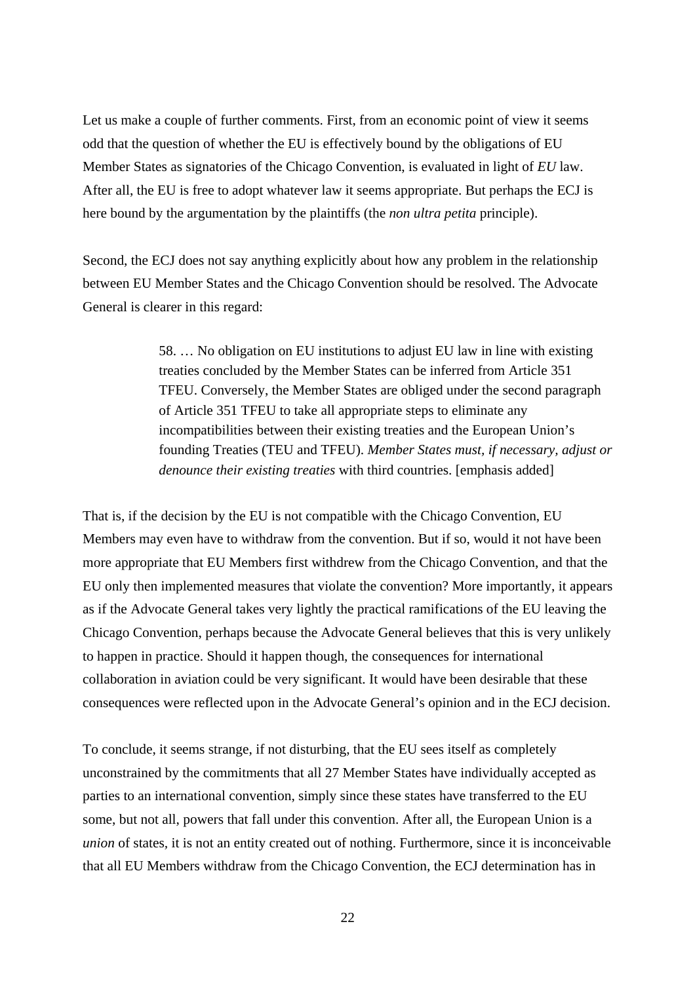Let us make a couple of further comments. First, from an economic point of view it seems odd that the question of whether the EU is effectively bound by the obligations of EU Member States as signatories of the Chicago Convention, is evaluated in light of *EU* law. After all, the EU is free to adopt whatever law it seems appropriate. But perhaps the ECJ is here bound by the argumentation by the plaintiffs (the *non ultra petita* principle).

Second, the ECJ does not say anything explicitly about how any problem in the relationship between EU Member States and the Chicago Convention should be resolved. The Advocate General is clearer in this regard:

> 58. … No obligation on EU institutions to adjust EU law in line with existing treaties concluded by the Member States can be inferred from Article 351 TFEU. Conversely, the Member States are obliged under the second paragraph of Article 351 TFEU to take all appropriate steps to eliminate any incompatibilities between their existing treaties and the European Union's founding Treaties (TEU and TFEU). *Member States must, if necessary, adjust or denounce their existing treaties* with third countries. [emphasis added]

That is, if the decision by the EU is not compatible with the Chicago Convention, EU Members may even have to withdraw from the convention. But if so, would it not have been more appropriate that EU Members first withdrew from the Chicago Convention, and that the EU only then implemented measures that violate the convention? More importantly, it appears as if the Advocate General takes very lightly the practical ramifications of the EU leaving the Chicago Convention, perhaps because the Advocate General believes that this is very unlikely to happen in practice. Should it happen though, the consequences for international collaboration in aviation could be very significant. It would have been desirable that these consequences were reflected upon in the Advocate General's opinion and in the ECJ decision.

To conclude, it seems strange, if not disturbing, that the EU sees itself as completely unconstrained by the commitments that all 27 Member States have individually accepted as parties to an international convention, simply since these states have transferred to the EU some, but not all, powers that fall under this convention. After all, the European Union is a *union* of states*,* it is not an entity created out of nothing. Furthermore, since it is inconceivable that all EU Members withdraw from the Chicago Convention, the ECJ determination has in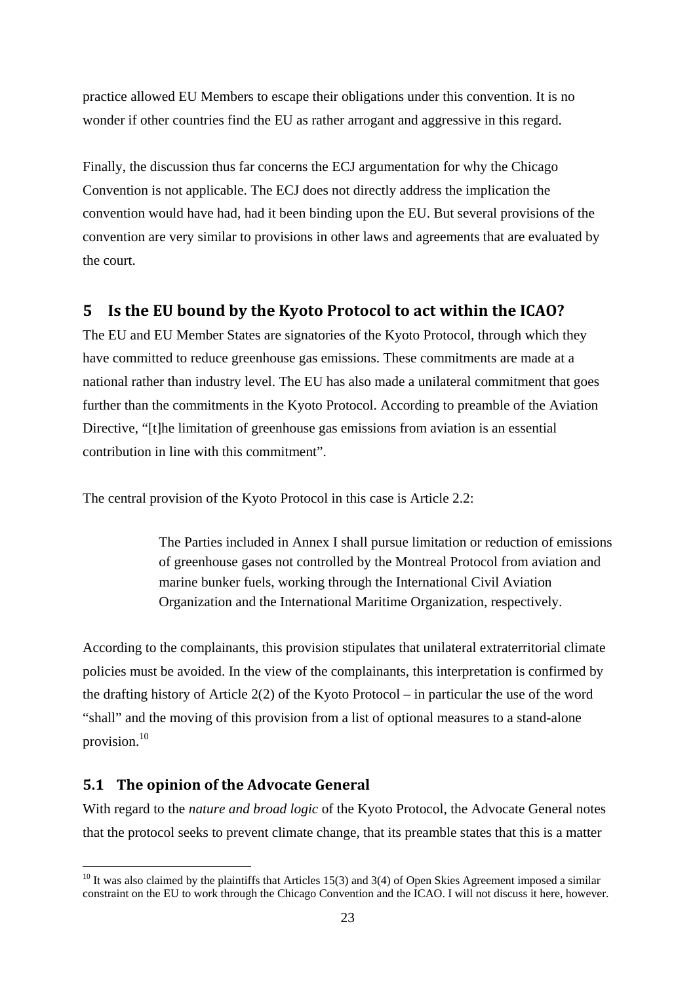practice allowed EU Members to escape their obligations under this convention. It is no wonder if other countries find the EU as rather arrogant and aggressive in this regard.

Finally, the discussion thus far concerns the ECJ argumentation for why the Chicago Convention is not applicable. The ECJ does not directly address the implication the convention would have had, had it been binding upon the EU. But several provisions of the convention are very similar to provisions in other laws and agreements that are evaluated by the court.

## **5 Is the EU bound by the Kyoto Protocol to act within the ICAO?**

The EU and EU Member States are signatories of the Kyoto Protocol, through which they have committed to reduce greenhouse gas emissions. These commitments are made at a national rather than industry level. The EU has also made a unilateral commitment that goes further than the commitments in the Kyoto Protocol. According to preamble of the Aviation Directive, "[t]he limitation of greenhouse gas emissions from aviation is an essential contribution in line with this commitment".

The central provision of the Kyoto Protocol in this case is Article 2.2:

The Parties included in Annex I shall pursue limitation or reduction of emissions of greenhouse gases not controlled by the Montreal Protocol from aviation and marine bunker fuels, working through the International Civil Aviation Organization and the International Maritime Organization, respectively.

According to the complainants, this provision stipulates that unilateral extraterritorial climate policies must be avoided. In the view of the complainants, this interpretation is confirmed by the drafting history of Article 2(2) of the Kyoto Protocol – in particular the use of the word "shall" and the moving of this provision from a list of optional measures to a stand-alone provision.10

## **5.1 The opinion of the Advocate General**

<u>.</u>

With regard to the *nature and broad logic* of the Kyoto Protocol, the Advocate General notes that the protocol seeks to prevent climate change, that its preamble states that this is a matter

 $10$  It was also claimed by the plaintiffs that Articles 15(3) and 3(4) of Open Skies Agreement imposed a similar constraint on the EU to work through the Chicago Convention and the ICAO. I will not discuss it here, however.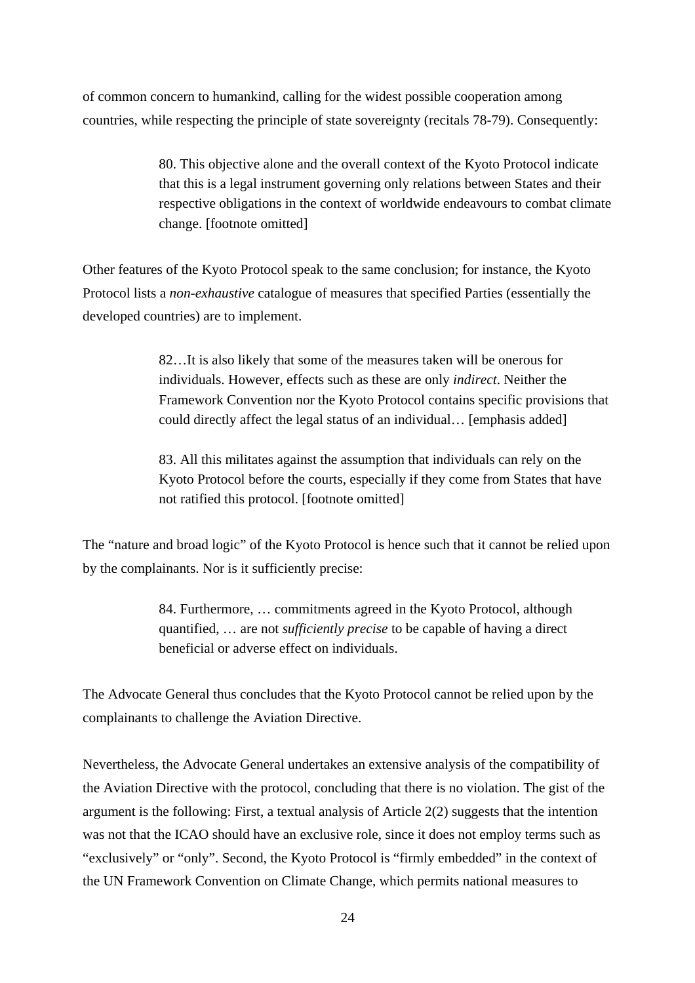of common concern to humankind, calling for the widest possible cooperation among countries, while respecting the principle of state sovereignty (recitals 78-79). Consequently:

> 80. This objective alone and the overall context of the Kyoto Protocol indicate that this is a legal instrument governing only relations between States and their respective obligations in the context of worldwide endeavours to combat climate change. [footnote omitted]

Other features of the Kyoto Protocol speak to the same conclusion; for instance, the Kyoto Protocol lists a *non-exhaustive* catalogue of measures that specified Parties (essentially the developed countries) are to implement.

> 82…It is also likely that some of the measures taken will be onerous for individuals. However, effects such as these are only *indirect*. Neither the Framework Convention nor the Kyoto Protocol contains specific provisions that could directly affect the legal status of an individual… [emphasis added]

83. All this militates against the assumption that individuals can rely on the Kyoto Protocol before the courts, especially if they come from States that have not ratified this protocol. [footnote omitted]

The "nature and broad logic" of the Kyoto Protocol is hence such that it cannot be relied upon by the complainants. Nor is it sufficiently precise:

> 84. Furthermore, … commitments agreed in the Kyoto Protocol, although quantified, … are not *sufficiently precise* to be capable of having a direct beneficial or adverse effect on individuals.

The Advocate General thus concludes that the Kyoto Protocol cannot be relied upon by the complainants to challenge the Aviation Directive.

Nevertheless, the Advocate General undertakes an extensive analysis of the compatibility of the Aviation Directive with the protocol, concluding that there is no violation. The gist of the argument is the following: First, a textual analysis of Article 2(2) suggests that the intention was not that the ICAO should have an exclusive role, since it does not employ terms such as "exclusively" or "only". Second, the Kyoto Protocol is "firmly embedded" in the context of the UN Framework Convention on Climate Change, which permits national measures to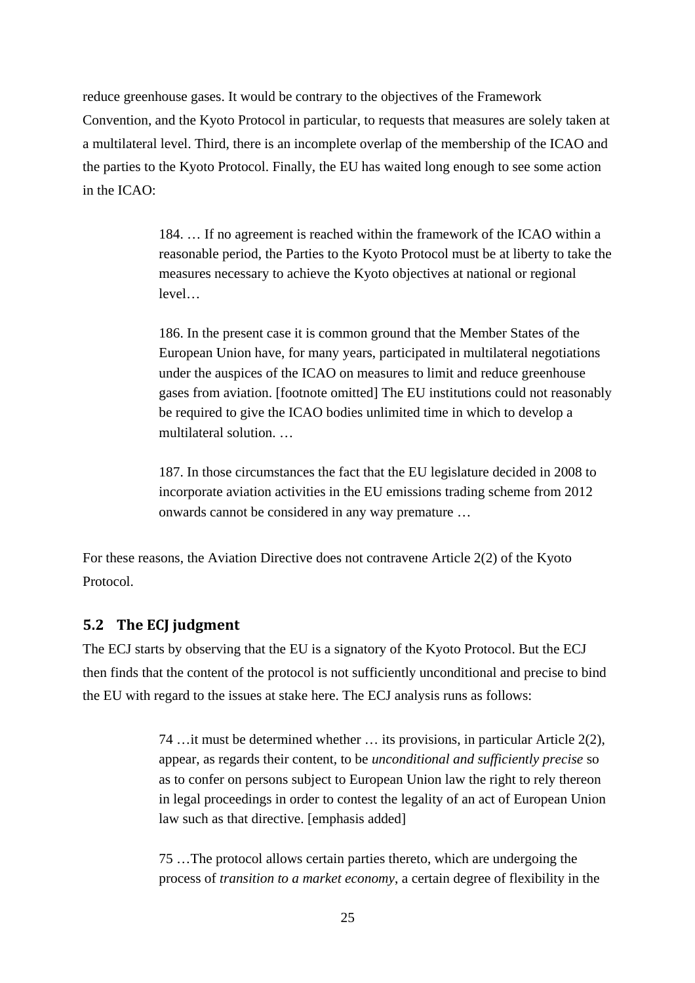reduce greenhouse gases. It would be contrary to the objectives of the Framework Convention, and the Kyoto Protocol in particular, to requests that measures are solely taken at a multilateral level. Third, there is an incomplete overlap of the membership of the ICAO and the parties to the Kyoto Protocol. Finally, the EU has waited long enough to see some action in the ICAO:

> 184. … If no agreement is reached within the framework of the ICAO within a reasonable period, the Parties to the Kyoto Protocol must be at liberty to take the measures necessary to achieve the Kyoto objectives at national or regional level…

> 186. In the present case it is common ground that the Member States of the European Union have, for many years, participated in multilateral negotiations under the auspices of the ICAO on measures to limit and reduce greenhouse gases from aviation. [footnote omitted] The EU institutions could not reasonably be required to give the ICAO bodies unlimited time in which to develop a multilateral solution. …

187. In those circumstances the fact that the EU legislature decided in 2008 to incorporate aviation activities in the EU emissions trading scheme from 2012 onwards cannot be considered in any way premature …

For these reasons, the Aviation Directive does not contravene Article 2(2) of the Kyoto Protocol.

#### **5.2 The ECJ judgment**

The ECJ starts by observing that the EU is a signatory of the Kyoto Protocol. But the ECJ then finds that the content of the protocol is not sufficiently unconditional and precise to bind the EU with regard to the issues at stake here. The ECJ analysis runs as follows:

> 74 …it must be determined whether … its provisions, in particular Article 2(2), appear, as regards their content, to be *unconditional and sufficiently precise* so as to confer on persons subject to European Union law the right to rely thereon in legal proceedings in order to contest the legality of an act of European Union law such as that directive. [emphasis added]

75 …The protocol allows certain parties thereto, which are undergoing the process of *transition to a market economy*, a certain degree of flexibility in the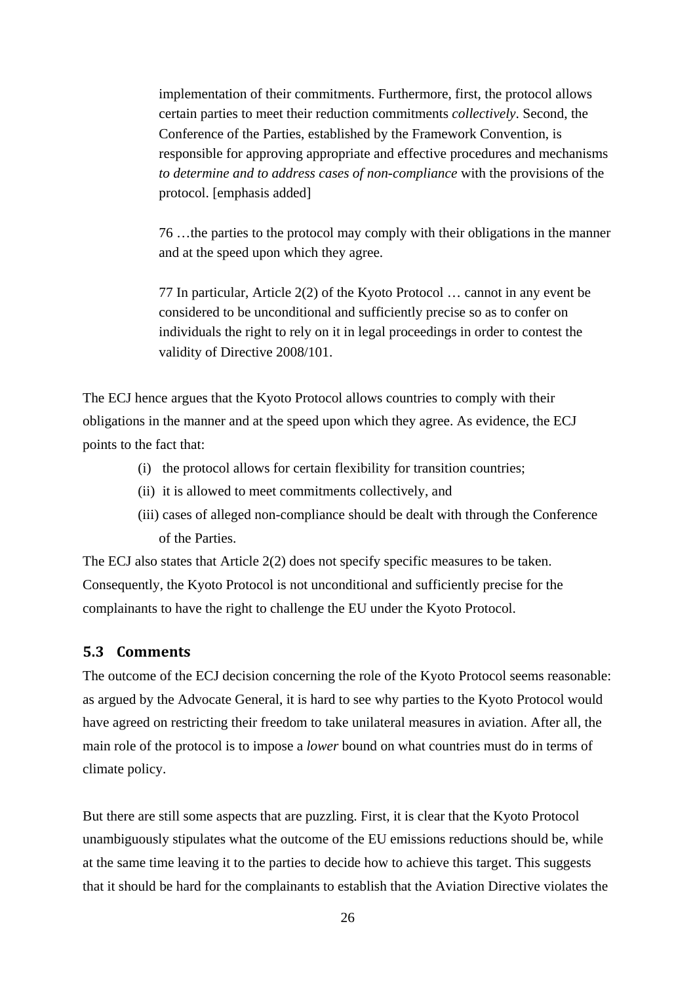implementation of their commitments. Furthermore, first, the protocol allows certain parties to meet their reduction commitments *collectively*. Second, the Conference of the Parties, established by the Framework Convention, is responsible for approving appropriate and effective procedures and mechanisms *to determine and to address cases of non-compliance* with the provisions of the protocol. [emphasis added]

76 …the parties to the protocol may comply with their obligations in the manner and at the speed upon which they agree.

77 In particular, Article 2(2) of the Kyoto Protocol … cannot in any event be considered to be unconditional and sufficiently precise so as to confer on individuals the right to rely on it in legal proceedings in order to contest the validity of Directive 2008/101.

The ECJ hence argues that the Kyoto Protocol allows countries to comply with their obligations in the manner and at the speed upon which they agree. As evidence, the ECJ points to the fact that:

- (i) the protocol allows for certain flexibility for transition countries;
- (ii) it is allowed to meet commitments collectively, and
- (iii) cases of alleged non-compliance should be dealt with through the Conference of the Parties.

The ECJ also states that Article 2(2) does not specify specific measures to be taken. Consequently, the Kyoto Protocol is not unconditional and sufficiently precise for the complainants to have the right to challenge the EU under the Kyoto Protocol.

#### **5.3 Comments**

The outcome of the ECJ decision concerning the role of the Kyoto Protocol seems reasonable: as argued by the Advocate General, it is hard to see why parties to the Kyoto Protocol would have agreed on restricting their freedom to take unilateral measures in aviation. After all, the main role of the protocol is to impose a *lower* bound on what countries must do in terms of climate policy.

But there are still some aspects that are puzzling. First, it is clear that the Kyoto Protocol unambiguously stipulates what the outcome of the EU emissions reductions should be, while at the same time leaving it to the parties to decide how to achieve this target. This suggests that it should be hard for the complainants to establish that the Aviation Directive violates the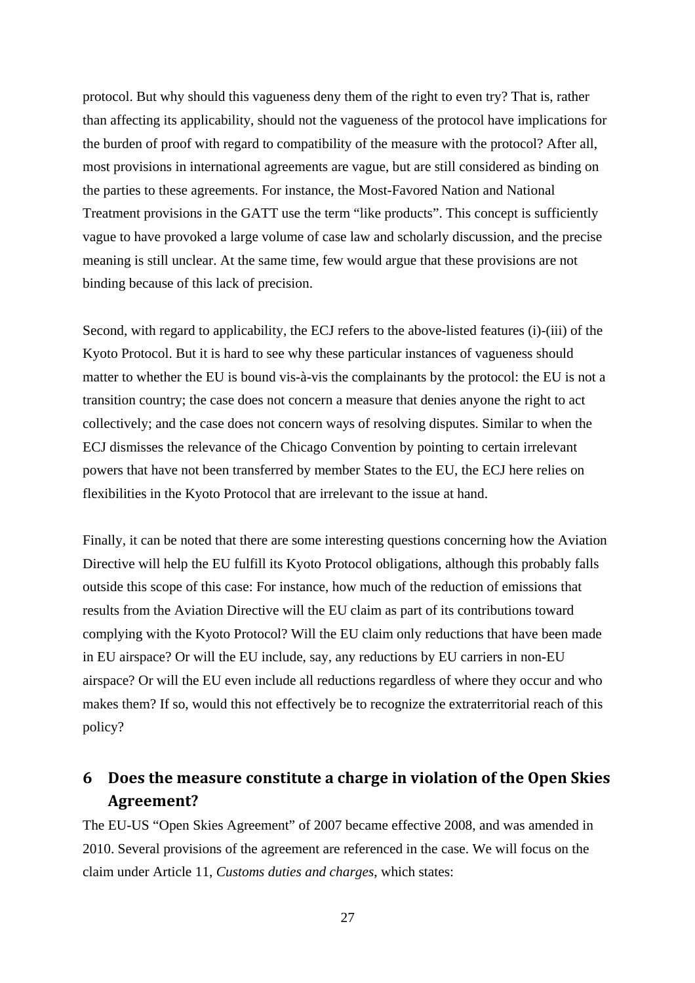protocol. But why should this vagueness deny them of the right to even try? That is, rather than affecting its applicability, should not the vagueness of the protocol have implications for the burden of proof with regard to compatibility of the measure with the protocol? After all, most provisions in international agreements are vague, but are still considered as binding on the parties to these agreements. For instance, the Most-Favored Nation and National Treatment provisions in the GATT use the term "like products". This concept is sufficiently vague to have provoked a large volume of case law and scholarly discussion, and the precise meaning is still unclear. At the same time, few would argue that these provisions are not binding because of this lack of precision.

Second, with regard to applicability, the ECJ refers to the above-listed features (i)-(iii) of the Kyoto Protocol. But it is hard to see why these particular instances of vagueness should matter to whether the EU is bound vis-à-vis the complainants by the protocol: the EU is not a transition country; the case does not concern a measure that denies anyone the right to act collectively; and the case does not concern ways of resolving disputes. Similar to when the ECJ dismisses the relevance of the Chicago Convention by pointing to certain irrelevant powers that have not been transferred by member States to the EU, the ECJ here relies on flexibilities in the Kyoto Protocol that are irrelevant to the issue at hand.

Finally, it can be noted that there are some interesting questions concerning how the Aviation Directive will help the EU fulfill its Kyoto Protocol obligations, although this probably falls outside this scope of this case: For instance, how much of the reduction of emissions that results from the Aviation Directive will the EU claim as part of its contributions toward complying with the Kyoto Protocol? Will the EU claim only reductions that have been made in EU airspace? Or will the EU include, say, any reductions by EU carriers in non-EU airspace? Or will the EU even include all reductions regardless of where they occur and who makes them? If so, would this not effectively be to recognize the extraterritorial reach of this policy?

## **6 Does the measure constitute a charge in violation of the Open Skies Agreement?**

The EU-US "Open Skies Agreement" of 2007 became effective 2008, and was amended in 2010. Several provisions of the agreement are referenced in the case. We will focus on the claim under Article 11, *Customs duties and charges*, which states: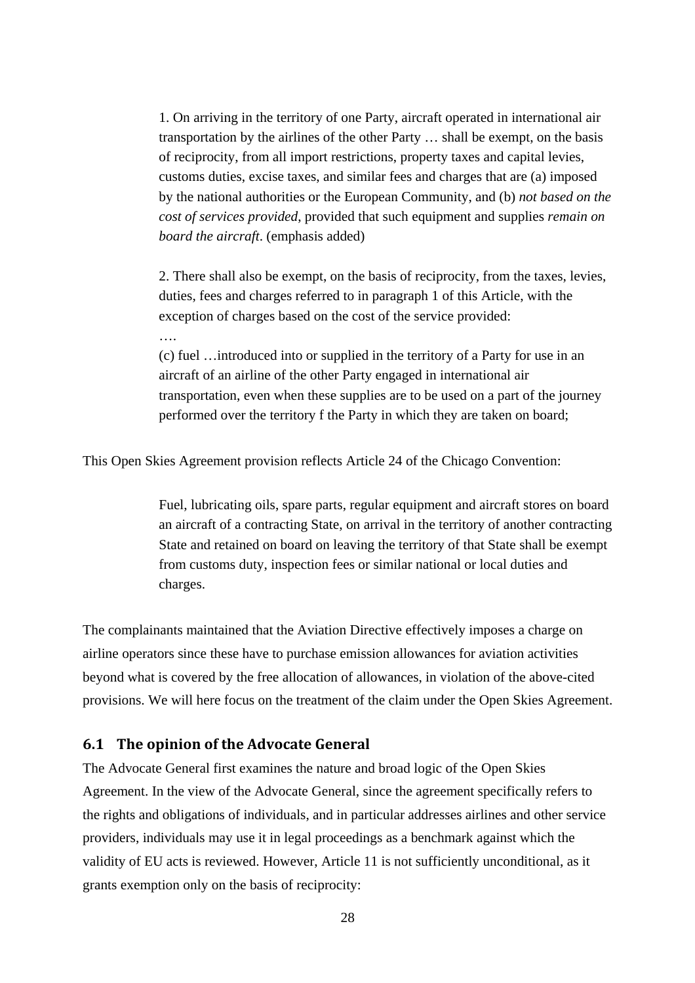1. On arriving in the territory of one Party, aircraft operated in international air transportation by the airlines of the other Party … shall be exempt, on the basis of reciprocity, from all import restrictions, property taxes and capital levies, customs duties, excise taxes, and similar fees and charges that are (a) imposed by the national authorities or the European Community, and (b) *not based on the cost of services provided*, provided that such equipment and supplies *remain on board the aircraft*. (emphasis added)

2. There shall also be exempt, on the basis of reciprocity, from the taxes, levies, duties, fees and charges referred to in paragraph 1 of this Article, with the exception of charges based on the cost of the service provided:

….

(c) fuel …introduced into or supplied in the territory of a Party for use in an aircraft of an airline of the other Party engaged in international air transportation, even when these supplies are to be used on a part of the journey performed over the territory f the Party in which they are taken on board;

This Open Skies Agreement provision reflects Article 24 of the Chicago Convention:

Fuel, lubricating oils, spare parts, regular equipment and aircraft stores on board an aircraft of a contracting State, on arrival in the territory of another contracting State and retained on board on leaving the territory of that State shall be exempt from customs duty, inspection fees or similar national or local duties and charges.

The complainants maintained that the Aviation Directive effectively imposes a charge on airline operators since these have to purchase emission allowances for aviation activities beyond what is covered by the free allocation of allowances, in violation of the above-cited provisions. We will here focus on the treatment of the claim under the Open Skies Agreement.

#### **6.1 The opinion of the Advocate General**

The Advocate General first examines the nature and broad logic of the Open Skies Agreement. In the view of the Advocate General, since the agreement specifically refers to the rights and obligations of individuals, and in particular addresses airlines and other service providers, individuals may use it in legal proceedings as a benchmark against which the validity of EU acts is reviewed. However, Article 11 is not sufficiently unconditional, as it grants exemption only on the basis of reciprocity: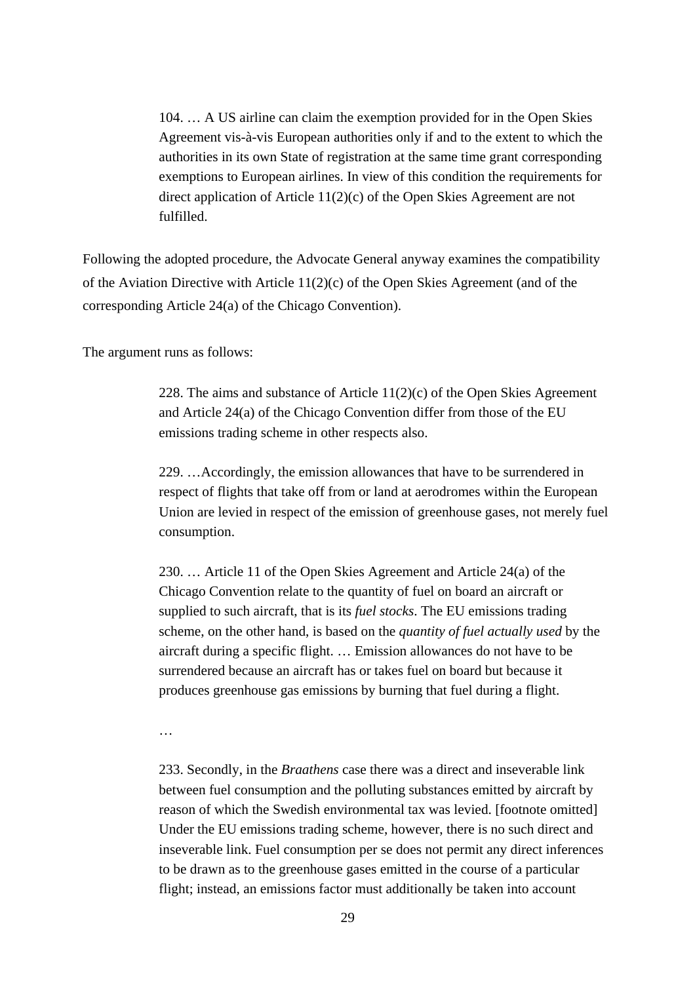104. … A US airline can claim the exemption provided for in the Open Skies Agreement vis-à-vis European authorities only if and to the extent to which the authorities in its own State of registration at the same time grant corresponding exemptions to European airlines. In view of this condition the requirements for direct application of Article 11(2)(c) of the Open Skies Agreement are not fulfilled.

Following the adopted procedure, the Advocate General anyway examines the compatibility of the Aviation Directive with Article 11(2)(c) of the Open Skies Agreement (and of the corresponding Article 24(a) of the Chicago Convention).

The argument runs as follows:

228. The aims and substance of Article 11(2)(c) of the Open Skies Agreement and Article 24(a) of the Chicago Convention differ from those of the EU emissions trading scheme in other respects also.

229. …Accordingly, the emission allowances that have to be surrendered in respect of flights that take off from or land at aerodromes within the European Union are levied in respect of the emission of greenhouse gases, not merely fuel consumption.

230. … Article 11 of the Open Skies Agreement and Article 24(a) of the Chicago Convention relate to the quantity of fuel on board an aircraft or supplied to such aircraft, that is its *fuel stocks*. The EU emissions trading scheme, on the other hand, is based on the *quantity of fuel actually used* by the aircraft during a specific flight. … Emission allowances do not have to be surrendered because an aircraft has or takes fuel on board but because it produces greenhouse gas emissions by burning that fuel during a flight.

…

233. Secondly, in the *Braathens* case there was a direct and inseverable link between fuel consumption and the polluting substances emitted by aircraft by reason of which the Swedish environmental tax was levied. [footnote omitted] Under the EU emissions trading scheme, however, there is no such direct and inseverable link. Fuel consumption per se does not permit any direct inferences to be drawn as to the greenhouse gases emitted in the course of a particular flight; instead, an emissions factor must additionally be taken into account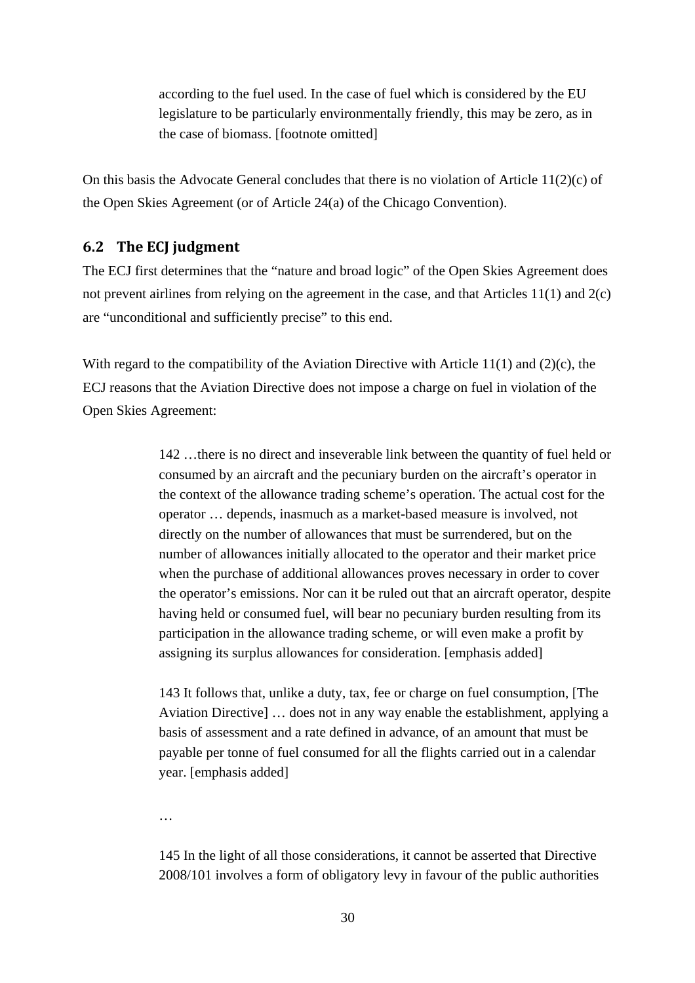according to the fuel used. In the case of fuel which is considered by the EU legislature to be particularly environmentally friendly, this may be zero, as in the case of biomass. [footnote omitted]

On this basis the Advocate General concludes that there is no violation of Article  $11(2)(c)$  of the Open Skies Agreement (or of Article 24(a) of the Chicago Convention).

#### **6.2 The ECJ judgment**

The ECJ first determines that the "nature and broad logic" of the Open Skies Agreement does not prevent airlines from relying on the agreement in the case, and that Articles 11(1) and 2(c) are "unconditional and sufficiently precise" to this end.

With regard to the compatibility of the Aviation Directive with Article 11(1) and (2)(c), the ECJ reasons that the Aviation Directive does not impose a charge on fuel in violation of the Open Skies Agreement:

> 142 …there is no direct and inseverable link between the quantity of fuel held or consumed by an aircraft and the pecuniary burden on the aircraft's operator in the context of the allowance trading scheme's operation. The actual cost for the operator … depends, inasmuch as a market-based measure is involved, not directly on the number of allowances that must be surrendered, but on the number of allowances initially allocated to the operator and their market price when the purchase of additional allowances proves necessary in order to cover the operator's emissions. Nor can it be ruled out that an aircraft operator, despite having held or consumed fuel, will bear no pecuniary burden resulting from its participation in the allowance trading scheme, or will even make a profit by assigning its surplus allowances for consideration. [emphasis added]

> 143 It follows that, unlike a duty, tax, fee or charge on fuel consumption, [The Aviation Directive] … does not in any way enable the establishment, applying a basis of assessment and a rate defined in advance, of an amount that must be payable per tonne of fuel consumed for all the flights carried out in a calendar year. [emphasis added]

…

145 In the light of all those considerations, it cannot be asserted that Directive 2008/101 involves a form of obligatory levy in favour of the public authorities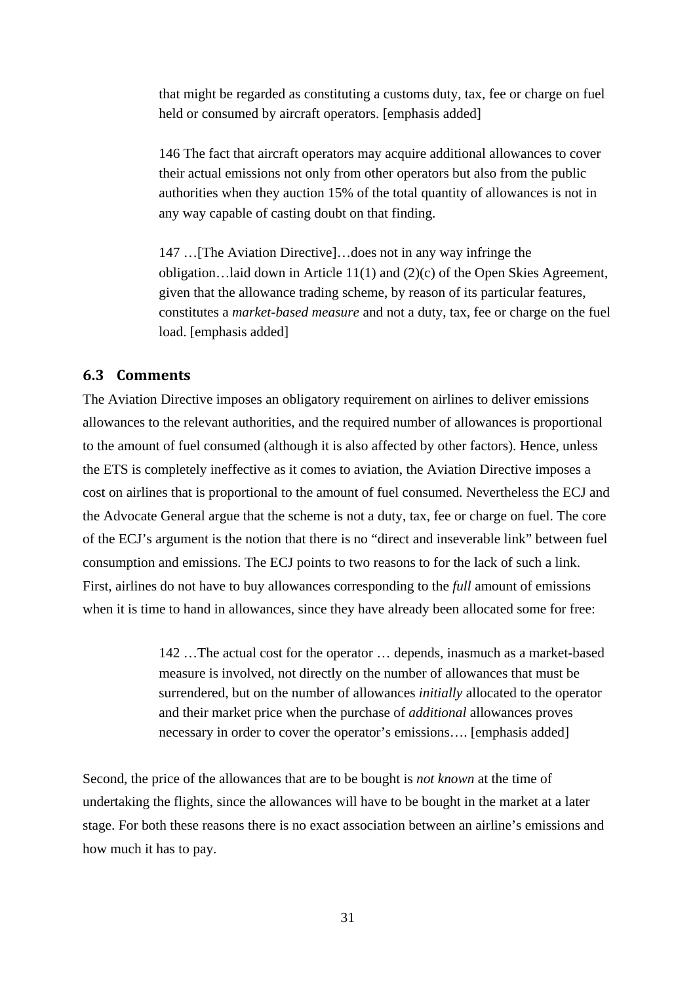that might be regarded as constituting a customs duty, tax, fee or charge on fuel held or consumed by aircraft operators. [emphasis added]

146 The fact that aircraft operators may acquire additional allowances to cover their actual emissions not only from other operators but also from the public authorities when they auction 15% of the total quantity of allowances is not in any way capable of casting doubt on that finding.

147 …[The Aviation Directive]…does not in any way infringe the obligation…laid down in Article 11(1) and (2)(c) of the Open Skies Agreement, given that the allowance trading scheme, by reason of its particular features, constitutes a *market-based measure* and not a duty, tax, fee or charge on the fuel load. [emphasis added]

#### **6.3 Comments**

The Aviation Directive imposes an obligatory requirement on airlines to deliver emissions allowances to the relevant authorities, and the required number of allowances is proportional to the amount of fuel consumed (although it is also affected by other factors). Hence, unless the ETS is completely ineffective as it comes to aviation, the Aviation Directive imposes a cost on airlines that is proportional to the amount of fuel consumed. Nevertheless the ECJ and the Advocate General argue that the scheme is not a duty, tax, fee or charge on fuel. The core of the ECJ's argument is the notion that there is no "direct and inseverable link" between fuel consumption and emissions. The ECJ points to two reasons to for the lack of such a link. First, airlines do not have to buy allowances corresponding to the *full* amount of emissions when it is time to hand in allowances, since they have already been allocated some for free:

> 142 …The actual cost for the operator … depends, inasmuch as a market-based measure is involved, not directly on the number of allowances that must be surrendered, but on the number of allowances *initially* allocated to the operator and their market price when the purchase of *additional* allowances proves necessary in order to cover the operator's emissions.... [emphasis added]

Second, the price of the allowances that are to be bought is *not known* at the time of undertaking the flights, since the allowances will have to be bought in the market at a later stage. For both these reasons there is no exact association between an airline's emissions and how much it has to pay.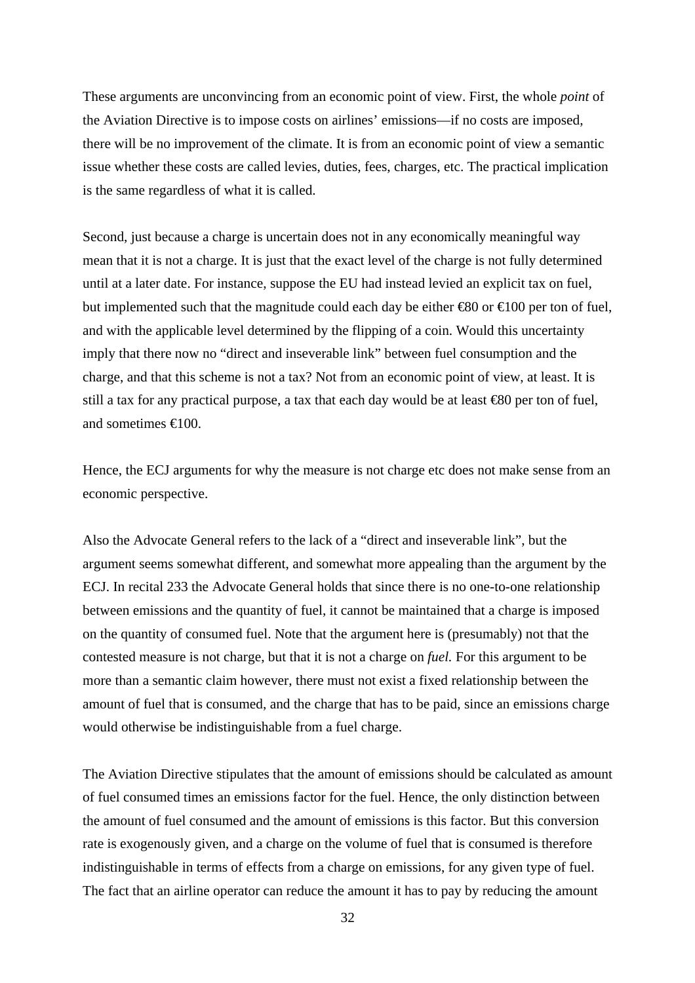These arguments are unconvincing from an economic point of view. First, the whole *point* of the Aviation Directive is to impose costs on airlines' emissions—if no costs are imposed, there will be no improvement of the climate. It is from an economic point of view a semantic issue whether these costs are called levies, duties, fees, charges, etc. The practical implication is the same regardless of what it is called.

Second, just because a charge is uncertain does not in any economically meaningful way mean that it is not a charge. It is just that the exact level of the charge is not fully determined until at a later date. For instance, suppose the EU had instead levied an explicit tax on fuel, but implemented such that the magnitude could each day be either  $\epsilon$ 80 or  $\epsilon$ 100 per ton of fuel, and with the applicable level determined by the flipping of a coin. Would this uncertainty imply that there now no "direct and inseverable link" between fuel consumption and the charge, and that this scheme is not a tax? Not from an economic point of view, at least. It is still a tax for any practical purpose, a tax that each day would be at least €80 per ton of fuel, and sometimes €100.

Hence, the ECJ arguments for why the measure is not charge etc does not make sense from an economic perspective.

Also the Advocate General refers to the lack of a "direct and inseverable link", but the argument seems somewhat different, and somewhat more appealing than the argument by the ECJ. In recital 233 the Advocate General holds that since there is no one-to-one relationship between emissions and the quantity of fuel, it cannot be maintained that a charge is imposed on the quantity of consumed fuel. Note that the argument here is (presumably) not that the contested measure is not charge, but that it is not a charge on *fuel.* For this argument to be more than a semantic claim however, there must not exist a fixed relationship between the amount of fuel that is consumed, and the charge that has to be paid, since an emissions charge would otherwise be indistinguishable from a fuel charge.

The Aviation Directive stipulates that the amount of emissions should be calculated as amount of fuel consumed times an emissions factor for the fuel. Hence, the only distinction between the amount of fuel consumed and the amount of emissions is this factor. But this conversion rate is exogenously given, and a charge on the volume of fuel that is consumed is therefore indistinguishable in terms of effects from a charge on emissions, for any given type of fuel. The fact that an airline operator can reduce the amount it has to pay by reducing the amount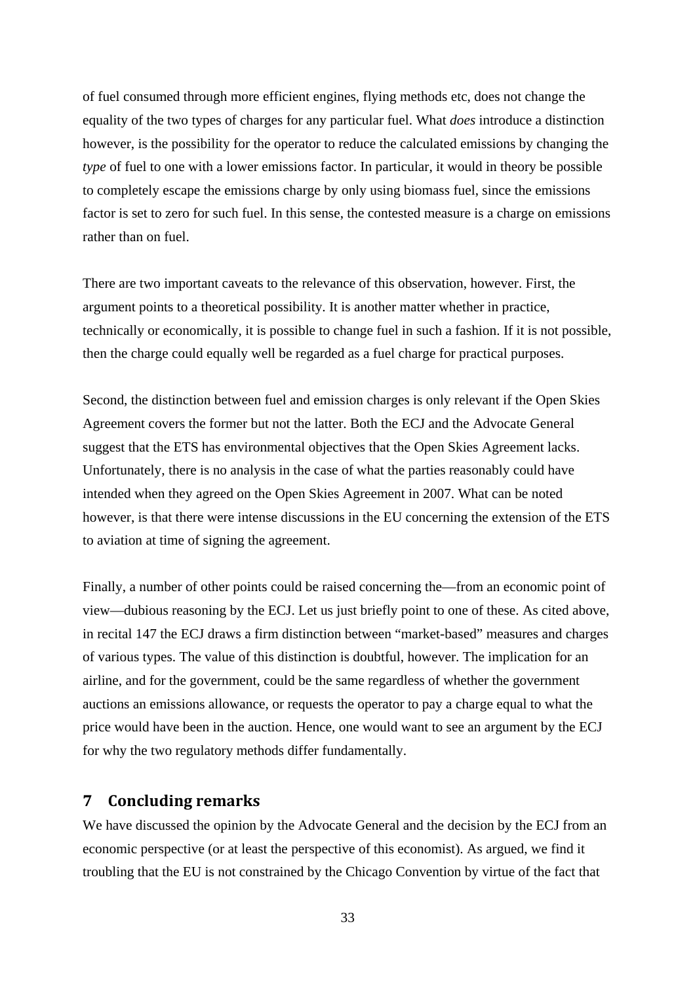of fuel consumed through more efficient engines, flying methods etc, does not change the equality of the two types of charges for any particular fuel. What *does* introduce a distinction however, is the possibility for the operator to reduce the calculated emissions by changing the *type* of fuel to one with a lower emissions factor. In particular, it would in theory be possible to completely escape the emissions charge by only using biomass fuel, since the emissions factor is set to zero for such fuel. In this sense, the contested measure is a charge on emissions rather than on fuel.

There are two important caveats to the relevance of this observation, however. First, the argument points to a theoretical possibility. It is another matter whether in practice, technically or economically, it is possible to change fuel in such a fashion. If it is not possible, then the charge could equally well be regarded as a fuel charge for practical purposes.

Second, the distinction between fuel and emission charges is only relevant if the Open Skies Agreement covers the former but not the latter. Both the ECJ and the Advocate General suggest that the ETS has environmental objectives that the Open Skies Agreement lacks. Unfortunately, there is no analysis in the case of what the parties reasonably could have intended when they agreed on the Open Skies Agreement in 2007. What can be noted however, is that there were intense discussions in the EU concerning the extension of the ETS to aviation at time of signing the agreement.

Finally, a number of other points could be raised concerning the—from an economic point of view—dubious reasoning by the ECJ. Let us just briefly point to one of these. As cited above, in recital 147 the ECJ draws a firm distinction between "market-based" measures and charges of various types. The value of this distinction is doubtful, however. The implication for an airline, and for the government, could be the same regardless of whether the government auctions an emissions allowance, or requests the operator to pay a charge equal to what the price would have been in the auction. Hence, one would want to see an argument by the ECJ for why the two regulatory methods differ fundamentally.

#### **7 Concluding remarks**

We have discussed the opinion by the Advocate General and the decision by the ECJ from an economic perspective (or at least the perspective of this economist). As argued, we find it troubling that the EU is not constrained by the Chicago Convention by virtue of the fact that

33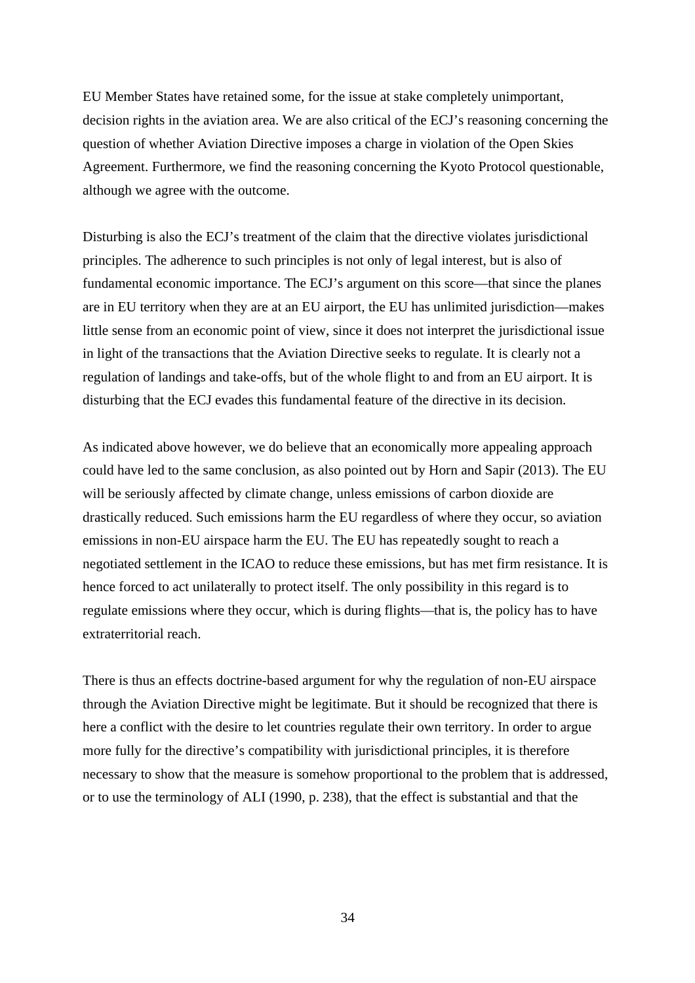EU Member States have retained some, for the issue at stake completely unimportant, decision rights in the aviation area. We are also critical of the ECJ's reasoning concerning the question of whether Aviation Directive imposes a charge in violation of the Open Skies Agreement. Furthermore, we find the reasoning concerning the Kyoto Protocol questionable, although we agree with the outcome.

Disturbing is also the ECJ's treatment of the claim that the directive violates jurisdictional principles. The adherence to such principles is not only of legal interest, but is also of fundamental economic importance. The ECJ's argument on this score—that since the planes are in EU territory when they are at an EU airport, the EU has unlimited jurisdiction—makes little sense from an economic point of view, since it does not interpret the jurisdictional issue in light of the transactions that the Aviation Directive seeks to regulate. It is clearly not a regulation of landings and take-offs, but of the whole flight to and from an EU airport. It is disturbing that the ECJ evades this fundamental feature of the directive in its decision.

As indicated above however, we do believe that an economically more appealing approach could have led to the same conclusion, as also pointed out by Horn and Sapir (2013). The EU will be seriously affected by climate change, unless emissions of carbon dioxide are drastically reduced. Such emissions harm the EU regardless of where they occur, so aviation emissions in non-EU airspace harm the EU. The EU has repeatedly sought to reach a negotiated settlement in the ICAO to reduce these emissions, but has met firm resistance. It is hence forced to act unilaterally to protect itself. The only possibility in this regard is to regulate emissions where they occur, which is during flights—that is, the policy has to have extraterritorial reach.

There is thus an effects doctrine-based argument for why the regulation of non-EU airspace through the Aviation Directive might be legitimate. But it should be recognized that there is here a conflict with the desire to let countries regulate their own territory. In order to argue more fully for the directive's compatibility with jurisdictional principles, it is therefore necessary to show that the measure is somehow proportional to the problem that is addressed, or to use the terminology of ALI (1990, p. 238), that the effect is substantial and that the

34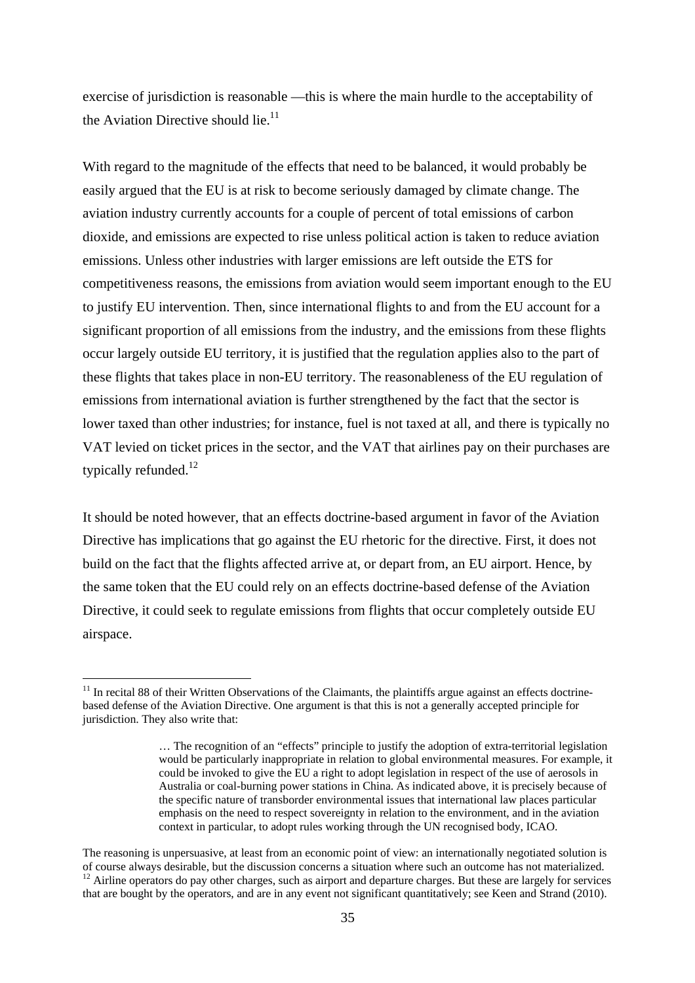exercise of jurisdiction is reasonable —this is where the main hurdle to the acceptability of the Aviation Directive should lie. $^{11}$ 

With regard to the magnitude of the effects that need to be balanced, it would probably be easily argued that the EU is at risk to become seriously damaged by climate change. The aviation industry currently accounts for a couple of percent of total emissions of carbon dioxide, and emissions are expected to rise unless political action is taken to reduce aviation emissions. Unless other industries with larger emissions are left outside the ETS for competitiveness reasons, the emissions from aviation would seem important enough to the EU to justify EU intervention. Then, since international flights to and from the EU account for a significant proportion of all emissions from the industry, and the emissions from these flights occur largely outside EU territory, it is justified that the regulation applies also to the part of these flights that takes place in non-EU territory. The reasonableness of the EU regulation of emissions from international aviation is further strengthened by the fact that the sector is lower taxed than other industries; for instance, fuel is not taxed at all, and there is typically no VAT levied on ticket prices in the sector, and the VAT that airlines pay on their purchases are typically refunded.<sup>12</sup>

It should be noted however, that an effects doctrine-based argument in favor of the Aviation Directive has implications that go against the EU rhetoric for the directive. First, it does not build on the fact that the flights affected arrive at, or depart from, an EU airport. Hence, by the same token that the EU could rely on an effects doctrine-based defense of the Aviation Directive, it could seek to regulate emissions from flights that occur completely outside EU airspace.

-

 $11$  In recital 88 of their Written Observations of the Claimants, the plaintiffs argue against an effects doctrinebased defense of the Aviation Directive. One argument is that this is not a generally accepted principle for jurisdiction. They also write that:

<sup>…</sup> The recognition of an "effects" principle to justify the adoption of extra-territorial legislation would be particularly inappropriate in relation to global environmental measures. For example, it could be invoked to give the EU a right to adopt legislation in respect of the use of aerosols in Australia or coal-burning power stations in China. As indicated above, it is precisely because of the specific nature of transborder environmental issues that international law places particular emphasis on the need to respect sovereignty in relation to the environment, and in the aviation context in particular, to adopt rules working through the UN recognised body, ICAO.

The reasoning is unpersuasive, at least from an economic point of view: an internationally negotiated solution is of course always desirable, but the discussion concerns a situation where such an outcome has not materialized.  $12$  Airline operators do pay other charges, such as airport and departure charges. But these are largely for services that are bought by the operators, and are in any event not significant quantitatively; see Keen and Strand (2010).